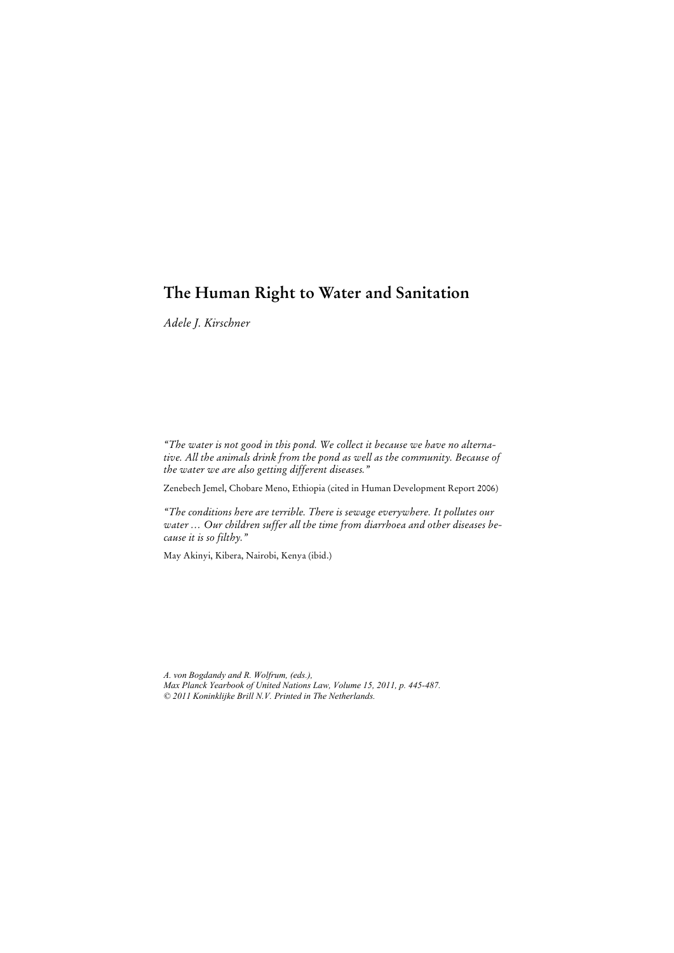# **The Human Right to Water and Sanitation**

*Adele J. Kirschner* 

*"The water is not good in this pond. We collect it because we have no alternative. All the animals drink from the pond as well as the community. Because of the water we are also getting different diseases."* 

Zenebech Jemel, Chobare Meno, Ethiopia (cited in Human Development Report 2006)

*"The conditions here are terrible. There is sewage everywhere. It pollutes our water … Our children suffer all the time from diarrhoea and other diseases because it is so filthy."* 

May Akinyi, Kibera, Nairobi, Kenya (ibid.)

*A. von Bogdandy and R. Wolfrum, (eds.), Max Planck Yearbook of United Nations Law, Volume 15, 2011, p. 445-487. © 2011 Koninklijke Brill N.V. Printed in The Netherlands.*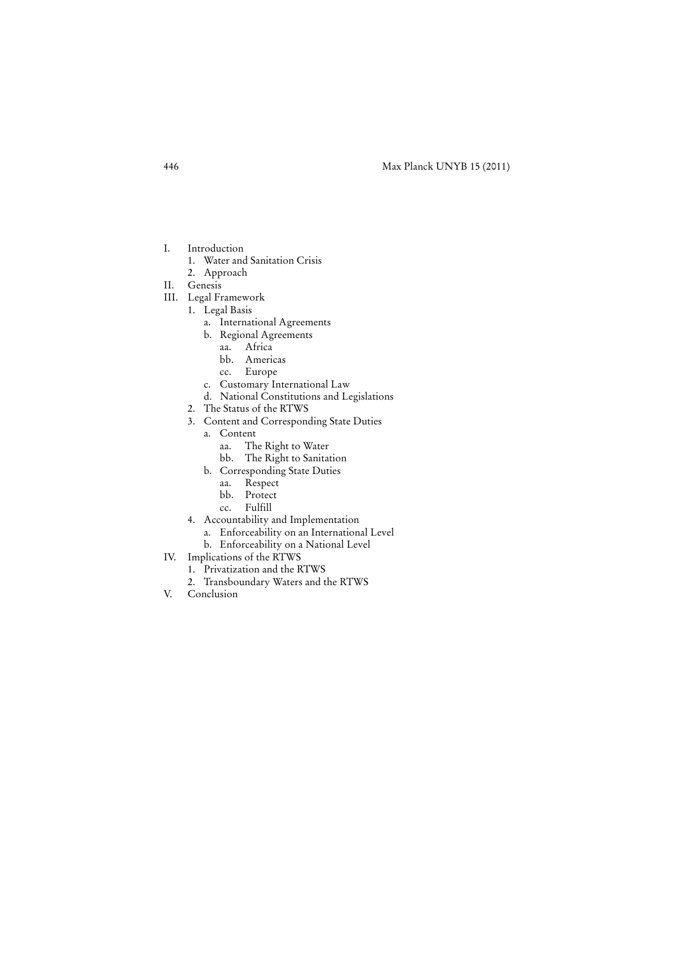- I. Introduction
	- 1. Water and Sanitation Crisis
	- 2. Approach
- II. Genesis
- III. Legal Framework
	- 1. Legal Basis
		- a. International Agreements
		- b. Regional Agreements
			- aa. Africa
			- bb. Americas
			- cc. Europe
		- c. Customary International Law
		- d. National Constitutions and Legislations
	- 2. The Status of the RTWS
	- 3. Content and Corresponding State Duties
		- a. Content
			- aa. The Right to Water
			- bb. The Right to Sanitation
		- b. Corresponding State Duties
			- aa. Respect
				- bb. Protect
				- cc. Fulfill
	- 4. Accountability and Implementation
		- a. Enforceability on an International Level
		- b. Enforceability on a National Level
- IV. Implications of the RTWS
	- 1. Privatization and the RTWS
		- 2. Transboundary Waters and the RTWS
- V. Conclusion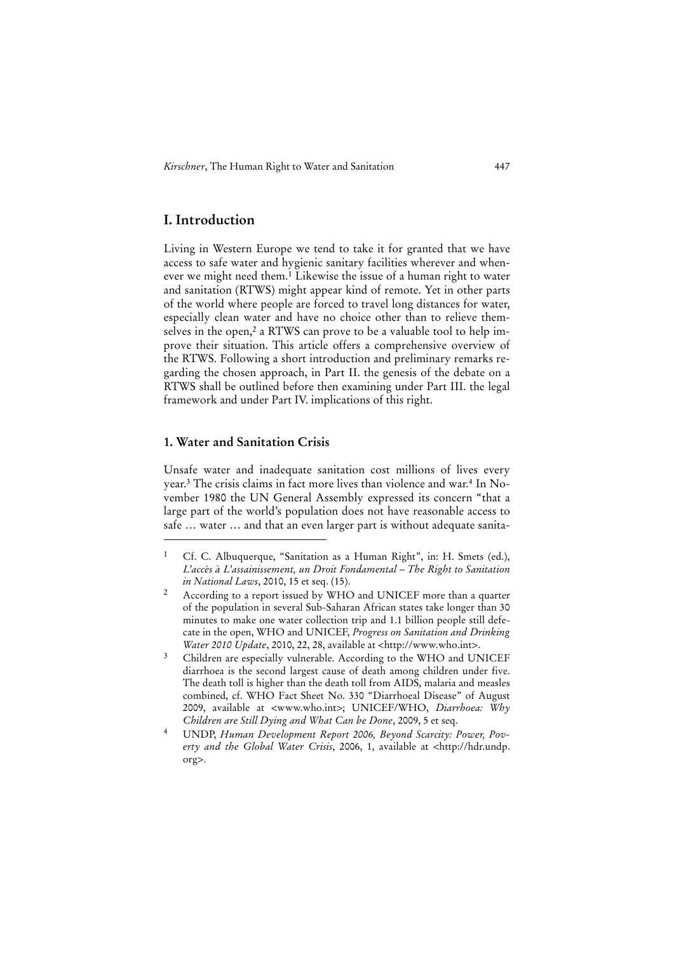# **I. Introduction**

Living in Western Europe we tend to take it for granted that we have access to safe water and hygienic sanitary facilities wherever and whenever we might need them.<sup>1</sup> Likewise the issue of a human right to water and sanitation (RTWS) might appear kind of remote. Yet in other parts of the world where people are forced to travel long distances for water, especially clean water and have no choice other than to relieve themselves in the open,<sup>2</sup> a RTWS can prove to be a valuable tool to help improve their situation. This article offers a comprehensive overview of the RTWS. Following a short introduction and preliminary remarks regarding the chosen approach, in Part II. the genesis of the debate on a RTWS shall be outlined before then examining under Part III. the legal framework and under Part IV. implications of this right.

# **1. Water and Sanitation Crisis**

j

Unsafe water and inadequate sanitation cost millions of lives every year.3 The crisis claims in fact more lives than violence and war.4 In November 1980 the UN General Assembly expressed its concern "that a large part of the world's population does not have reasonable access to safe … water … and that an even larger part is without adequate sanita-

<sup>&</sup>lt;sup>1</sup> Cf. C. Albuquerque, "Sanitation as a Human Right", in: H. Smets (ed.), *L'accès à L'assainissement, un Droit Fondamental* – *The Right to Sanitation in National Laws*, 2010, 15 et seq. (15).

<sup>2</sup> According to a report issued by WHO and UNICEF more than a quarter of the population in several Sub-Saharan African states take longer than 30 minutes to make one water collection trip and 1.1 billion people still defecate in the open, WHO and UNICEF, *Progress on Sanitation and Drinking Water 2010 Update*, 2010, 22, 28, available at <http://www.who.int>.

<sup>&</sup>lt;sup>3</sup> Children are especially vulnerable. According to the WHO and UNICEF diarrhoea is the second largest cause of death among children under five. The death toll is higher than the death toll from AIDS, malaria and measles combined, cf. WHO Fact Sheet No. 330 "Diarrhoeal Disease" of August 2009, available at <www.who.int>; UNICEF/WHO, *Diarrhoea: Why Children are Still Dying and What Can be Done*, 2009, 5 et seq.

<sup>4</sup> UNDP, *Human Development Report 2006, Beyond Scarcity: Power, Poverty and the Global Water Crisis*, 2006, 1, available at <http://hdr.undp. org>.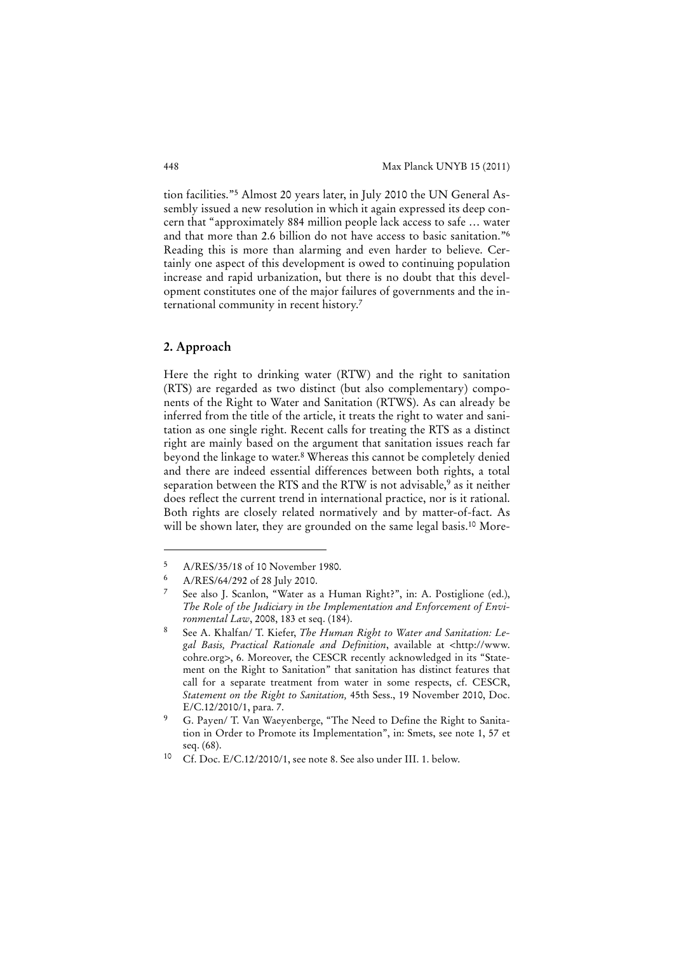tion facilities."5 Almost 20 years later, in July 2010 the UN General Assembly issued a new resolution in which it again expressed its deep concern that "approximately 884 million people lack access to safe … water and that more than 2.6 billion do not have access to basic sanitation."6 Reading this is more than alarming and even harder to believe. Certainly one aspect of this development is owed to continuing population increase and rapid urbanization, but there is no doubt that this development constitutes one of the major failures of governments and the international community in recent history.7

#### **2. Approach**

1

Here the right to drinking water (RTW) and the right to sanitation (RTS) are regarded as two distinct (but also complementary) components of the Right to Water and Sanitation (RTWS). As can already be inferred from the title of the article, it treats the right to water and sanitation as one single right. Recent calls for treating the RTS as a distinct right are mainly based on the argument that sanitation issues reach far beyond the linkage to water.8 Whereas this cannot be completely denied and there are indeed essential differences between both rights, a total separation between the RTS and the RTW is not advisable,<sup>9</sup> as it neither does reflect the current trend in international practice, nor is it rational. Both rights are closely related normatively and by matter-of-fact. As will be shown later, they are grounded on the same legal basis.<sup>10</sup> More-

 $\frac{5}{4}$  A/RES/35/18 of 10 November 1980.

<sup>6</sup> A/RES/64/292 of 28 July 2010.

See also J. Scanlon, "Water as a Human Right?", in: A. Postiglione (ed.), *The Role of the Judiciary in the Implementation and Enforcement of Environmental Law*, 2008, 183 et seq. (184).

<sup>8</sup> See A. Khalfan/ T. Kiefer, *The Human Right to Water and Sanitation: Legal Basis, Practical Rationale and Definition*, available at <http://www. cohre.org>, 6. Moreover, the CESCR recently acknowledged in its "Statement on the Right to Sanitation" that sanitation has distinct features that call for a separate treatment from water in some respects, cf. CESCR, *Statement on the Right to Sanitation,* 45th Sess., 19 November 2010, Doc. E/C.12/2010/1, para. 7.

<sup>9</sup> G. Payen/ T. Van Waeyenberge, "The Need to Define the Right to Sanitation in Order to Promote its Implementation", in: Smets, see note 1, 57 et seq. (68).

<sup>10</sup> Cf. Doc. E/C.12/2010/1, see note 8. See also under III. 1. below.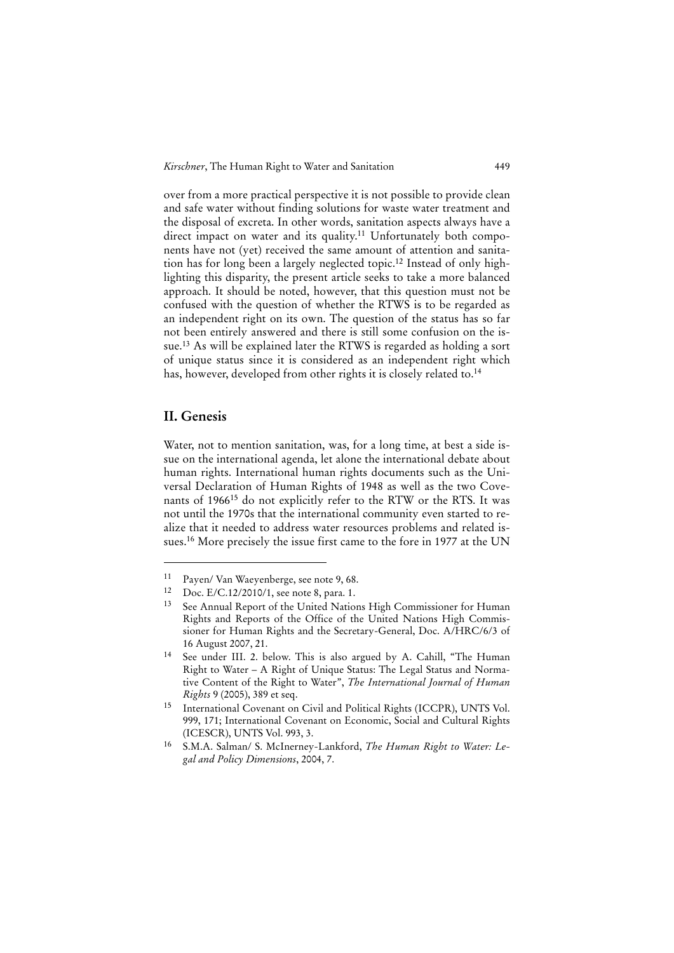*Kirschner*, The Human Right to Water and Sanitation 449

over from a more practical perspective it is not possible to provide clean and safe water without finding solutions for waste water treatment and the disposal of excreta. In other words, sanitation aspects always have a direct impact on water and its quality.<sup>11</sup> Unfortunately both components have not (yet) received the same amount of attention and sanitation has for long been a largely neglected topic.12 Instead of only highlighting this disparity, the present article seeks to take a more balanced approach. It should be noted, however, that this question must not be confused with the question of whether the RTWS is to be regarded as an independent right on its own. The question of the status has so far not been entirely answered and there is still some confusion on the issue.13 As will be explained later the RTWS is regarded as holding a sort of unique status since it is considered as an independent right which has, however, developed from other rights it is closely related to.<sup>14</sup>

# **II. Genesis**

1

Water, not to mention sanitation, was, for a long time, at best a side issue on the international agenda, let alone the international debate about human rights. International human rights documents such as the Universal Declaration of Human Rights of 1948 as well as the two Covenants of 196615 do not explicitly refer to the RTW or the RTS. It was not until the 1970s that the international community even started to realize that it needed to address water resources problems and related issues.16 More precisely the issue first came to the fore in 1977 at the UN

<sup>11</sup> Payen/ Van Waeyenberge, see note 9, 68.

<sup>12</sup> Doc. E/C.12/2010/1, see note 8, para. 1.

<sup>13</sup> See Annual Report of the United Nations High Commissioner for Human Rights and Reports of the Office of the United Nations High Commissioner for Human Rights and the Secretary-General, Doc. A/HRC/6/3 of 16 August 2007, 21.

<sup>14</sup> See under III. 2. below. This is also argued by A. Cahill, "The Human Right to Water – A Right of Unique Status: The Legal Status and Normative Content of the Right to Water", *The International Journal of Human Rights* 9 (2005), 389 et seq.

<sup>15</sup> International Covenant on Civil and Political Rights (ICCPR), UNTS Vol. 999, 171; International Covenant on Economic, Social and Cultural Rights (ICESCR), UNTS Vol. 993, 3.

<sup>16</sup> S.M.A. Salman/ S. McInerney-Lankford, *The Human Right to Water: Legal and Policy Dimensions*, 2004, 7.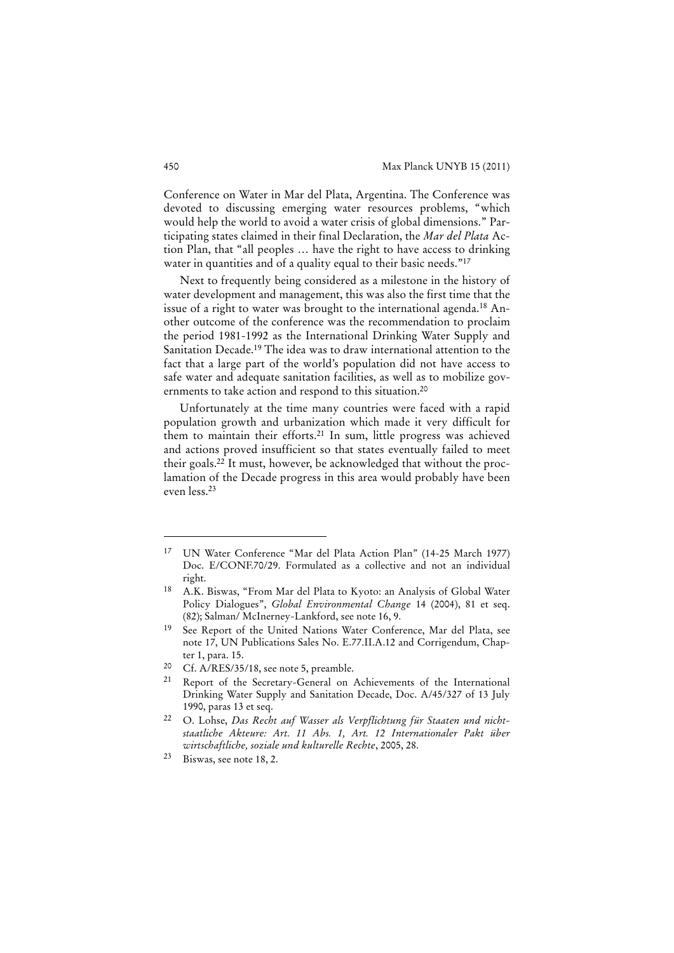Conference on Water in Mar del Plata, Argentina. The Conference was devoted to discussing emerging water resources problems, "which would help the world to avoid a water crisis of global dimensions." Participating states claimed in their final Declaration, the *Mar del Plata* Action Plan, that "all peoples … have the right to have access to drinking water in quantities and of a quality equal to their basic needs."<sup>17</sup>

Next to frequently being considered as a milestone in the history of water development and management, this was also the first time that the issue of a right to water was brought to the international agenda.18 Another outcome of the conference was the recommendation to proclaim the period 1981-1992 as the International Drinking Water Supply and Sanitation Decade.19 The idea was to draw international attention to the fact that a large part of the world's population did not have access to safe water and adequate sanitation facilities, as well as to mobilize governments to take action and respond to this situation.20

Unfortunately at the time many countries were faced with a rapid population growth and urbanization which made it very difficult for them to maintain their efforts.<sup>21</sup> In sum, little progress was achieved and actions proved insufficient so that states eventually failed to meet their goals.22 It must, however, be acknowledged that without the proclamation of the Decade progress in this area would probably have been even less.23

<sup>17</sup> UN Water Conference "Mar del Plata Action Plan" (14-25 March 1977) Doc. E/CONF.70/29. Formulated as a collective and not an individual right.

<sup>18</sup> A.K. Biswas, "From Mar del Plata to Kyoto: an Analysis of Global Water Policy Dialogues", *Global Environmental Change* 14 (2004), 81 et seq. (82); Salman/ McInerney-Lankford, see note 16, 9.

<sup>19</sup> See Report of the United Nations Water Conference, Mar del Plata, see note 17, UN Publications Sales No. E.77.II.A.12 and Corrigendum, Chapter 1, para. 15.

<sup>20</sup> Cf. A/RES/35/18, see note 5, preamble.

<sup>21</sup> Report of the Secretary-General on Achievements of the International Drinking Water Supply and Sanitation Decade, Doc. A/45/327 of 13 July 1990, paras 13 et seq.

<sup>22</sup> O. Lohse, *Das Recht auf Wasser als Verpflichtung für Staaten und nichtstaatliche Akteure: Art. 11 Abs. 1, Art. 12 Internationaler Pakt über wirtschaftliche, soziale und kulturelle Rechte*, 2005, 28.

<sup>23</sup> Biswas, see note 18, 2.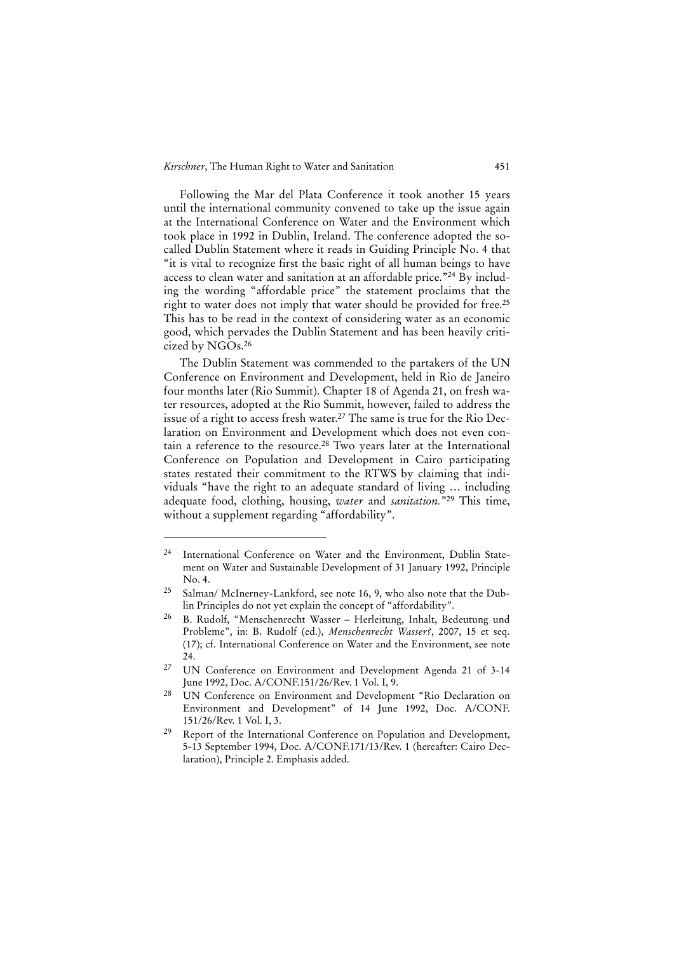Following the Mar del Plata Conference it took another 15 years until the international community convened to take up the issue again at the International Conference on Water and the Environment which took place in 1992 in Dublin, Ireland. The conference adopted the socalled Dublin Statement where it reads in Guiding Principle No. 4 that "it is vital to recognize first the basic right of all human beings to have access to clean water and sanitation at an affordable price."24 By including the wording "affordable price" the statement proclaims that the right to water does not imply that water should be provided for free.<sup>25</sup> This has to be read in the context of considering water as an economic good, which pervades the Dublin Statement and has been heavily criticized by NGOs.26

The Dublin Statement was commended to the partakers of the UN Conference on Environment and Development, held in Rio de Janeiro four months later (Rio Summit). Chapter 18 of Agenda 21, on fresh water resources, adopted at the Rio Summit, however, failed to address the issue of a right to access fresh water.27 The same is true for the Rio Declaration on Environment and Development which does not even contain a reference to the resource.28 Two years later at the International Conference on Population and Development in Cairo participating states restated their commitment to the RTWS by claiming that individuals "have the right to an adequate standard of living … including adequate food, clothing, housing, *water* and *sanitation.*"29 This time, without a supplement regarding "affordability".

<sup>24</sup> International Conference on Water and the Environment, Dublin Statement on Water and Sustainable Development of 31 January 1992, Principle No. 4.

<sup>25</sup> Salman/ McInerney-Lankford, see note 16, 9, who also note that the Dublin Principles do not yet explain the concept of "affordability".

<sup>26</sup> B. Rudolf, "Menschenrecht Wasser – Herleitung, Inhalt, Bedeutung und Probleme", in: B. Rudolf (ed.), *Menschenrecht Wasser?*, 2007, 15 et seq. (17); cf. International Conference on Water and the Environment, see note 24.

<sup>27</sup> UN Conference on Environment and Development Agenda 21 of 3-14 June 1992, Doc. A/CONF.151/26/Rev. 1 Vol. I, 9.

<sup>28</sup> UN Conference on Environment and Development "Rio Declaration on Environment and Development" of 14 June 1992, Doc. A/CONF. 151/26/Rev. 1 Vol. I, 3.

<sup>&</sup>lt;sup>29</sup> Report of the International Conference on Population and Development, 5-13 September 1994, Doc. A/CONF.171/13/Rev. 1 (hereafter: Cairo Declaration), Principle 2. Emphasis added.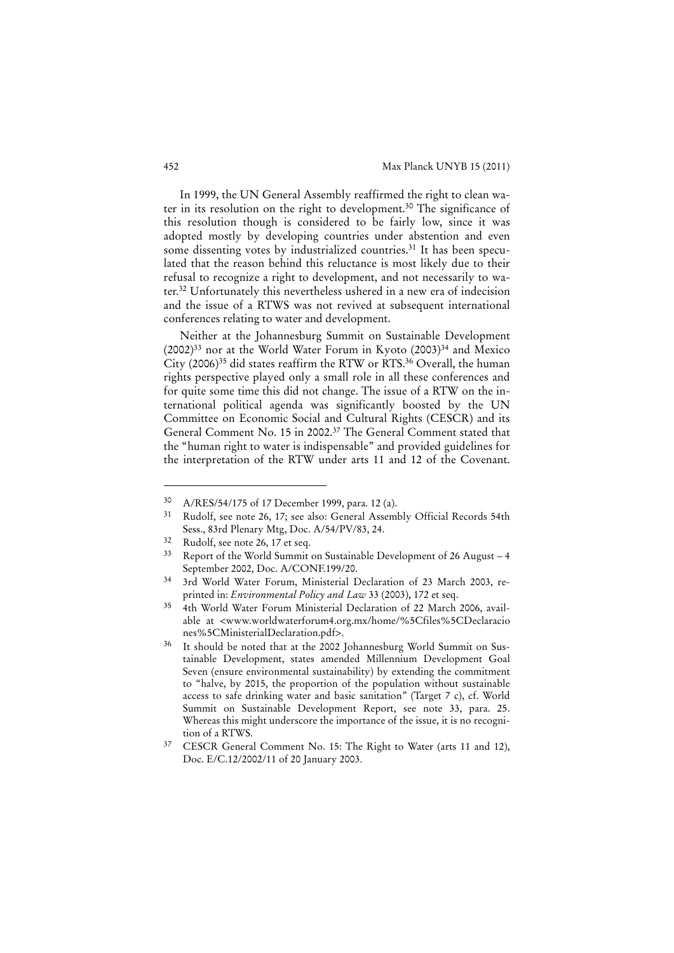In 1999, the UN General Assembly reaffirmed the right to clean water in its resolution on the right to development.<sup>30</sup> The significance of this resolution though is considered to be fairly low, since it was adopted mostly by developing countries under abstention and even some dissenting votes by industrialized countries.<sup>31</sup> It has been speculated that the reason behind this reluctance is most likely due to their refusal to recognize a right to development, and not necessarily to water.32 Unfortunately this nevertheless ushered in a new era of indecision and the issue of a RTWS was not revived at subsequent international conferences relating to water and development.

Neither at the Johannesburg Summit on Sustainable Development  $(2002)^{33}$  nor at the World Water Forum in Kyoto  $(2003)^{34}$  and Mexico City (2006)35 did states reaffirm the RTW or RTS.36 Overall, the human rights perspective played only a small role in all these conferences and for quite some time this did not change. The issue of a RTW on the international political agenda was significantly boosted by the UN Committee on Economic Social and Cultural Rights (CESCR) and its General Comment No. 15 in 2002.37 The General Comment stated that the "human right to water is indispensable" and provided guidelines for the interpretation of the RTW under arts 11 and 12 of the Covenant.

<sup>30</sup> A/RES/54/175 of 17 December 1999, para. 12 (a).

<sup>31</sup> Rudolf, see note 26, 17; see also: General Assembly Official Records 54th Sess., 83rd Plenary Mtg, Doc. A/54/PV/83, 24.

<sup>32</sup> Rudolf, see note 26, 17 et seq.

<sup>33</sup> Report of the World Summit on Sustainable Development of 26 August – 4 September 2002, Doc. A/CONF.199/20.

<sup>34 3</sup>rd World Water Forum, Ministerial Declaration of 23 March 2003, reprinted in: *Environmental Policy and Law* 33 (2003), 172 et seq.

<sup>35 4</sup>th World Water Forum Ministerial Declaration of 22 March 2006, available at <www.worldwaterforum4.org.mx/home/%5Cfiles%5CDeclaracio nes%5CMinisterialDeclaration.pdf>.

It should be noted that at the 2002 Johannesburg World Summit on Sustainable Development, states amended Millennium Development Goal Seven (ensure environmental sustainability) by extending the commitment to "halve, by 2015, the proportion of the population without sustainable access to safe drinking water and basic sanitation" (Target 7 c), cf. World Summit on Sustainable Development Report, see note 33, para. 25. Whereas this might underscore the importance of the issue, it is no recognition of a RTWS.

<sup>&</sup>lt;sup>37</sup> CESCR General Comment No. 15: The Right to Water (arts 11 and 12), Doc. E/C.12/2002/11 of 20 January 2003.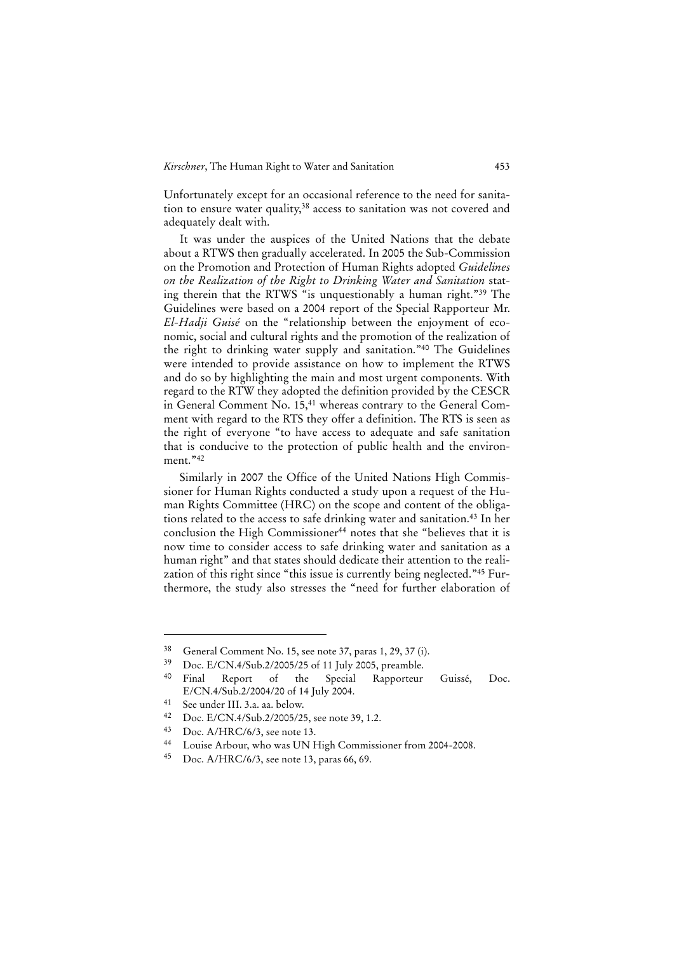Unfortunately except for an occasional reference to the need for sanitation to ensure water quality,<sup>38</sup> access to sanitation was not covered and adequately dealt with.

It was under the auspices of the United Nations that the debate about a RTWS then gradually accelerated. In 2005 the Sub-Commission on the Promotion and Protection of Human Rights adopted *Guidelines on the Realization of the Right to Drinking Water and Sanitation* stating therein that the RTWS "is unquestionably a human right."39 The Guidelines were based on a 2004 report of the Special Rapporteur Mr. *El-Hadji Guisé* on the "relationship between the enjoyment of economic, social and cultural rights and the promotion of the realization of the right to drinking water supply and sanitation."40 The Guidelines were intended to provide assistance on how to implement the RTWS and do so by highlighting the main and most urgent components. With regard to the RTW they adopted the definition provided by the CESCR in General Comment No. 15,<sup>41</sup> whereas contrary to the General Comment with regard to the RTS they offer a definition. The RTS is seen as the right of everyone "to have access to adequate and safe sanitation that is conducive to the protection of public health and the environment."42

Similarly in 2007 the Office of the United Nations High Commissioner for Human Rights conducted a study upon a request of the Human Rights Committee (HRC) on the scope and content of the obligations related to the access to safe drinking water and sanitation.<sup>43</sup> In her conclusion the High Commissioner<sup>44</sup> notes that she "believes that it is now time to consider access to safe drinking water and sanitation as a human right" and that states should dedicate their attention to the realization of this right since "this issue is currently being neglected."45 Furthermore, the study also stresses the "need for further elaboration of

<sup>38</sup> General Comment No. 15, see note 37, paras 1, 29, 37 (i).

<sup>39</sup> Doc. E/CN.4/Sub.2/2005/25 of 11 July 2005, preamble.

Final Report of the Special Rapporteur Guissé, Doc. E/CN.4/Sub.2/2004/20 of 14 July 2004.

<sup>41</sup> See under III. 3.a. aa. below.<br>42  $\sum_{\alpha} E/CN4/S_{11}h$  2/2005/2

Doc. E/CN.4/Sub.2/2005/25, see note 39, 1.2.

<sup>43</sup> Doc. A/HRC/6/3, see note 13.

<sup>44</sup> Louise Arbour, who was UN High Commissioner from 2004-2008.

<sup>45</sup> Doc. A/HRC/6/3, see note 13, paras 66, 69.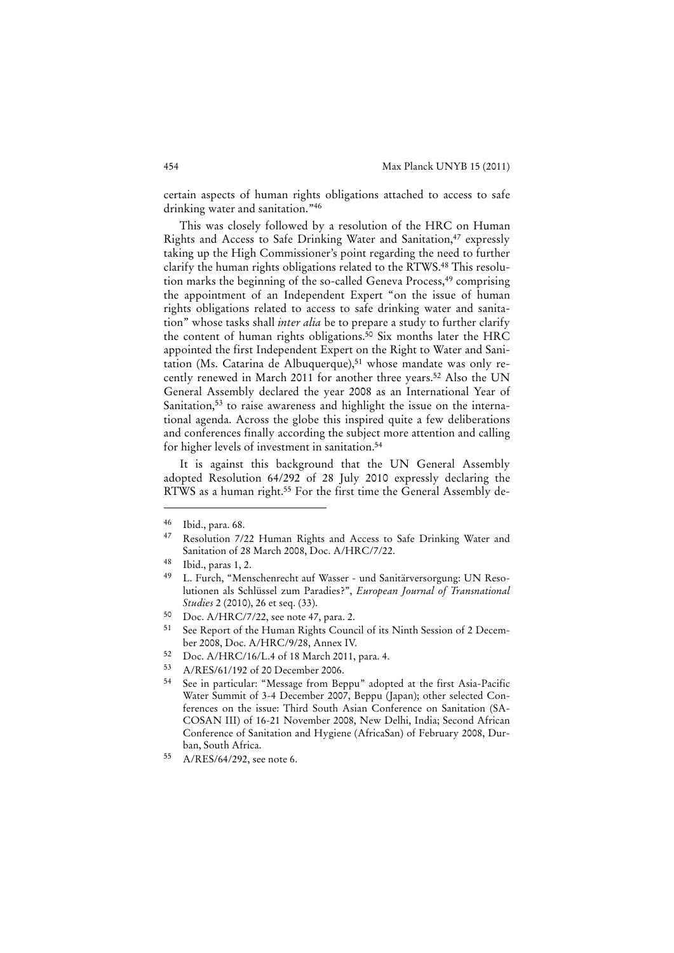certain aspects of human rights obligations attached to access to safe drinking water and sanitation."<sup>46</sup>

This was closely followed by a resolution of the HRC on Human Rights and Access to Safe Drinking Water and Sanitation,<sup>47</sup> expressly taking up the High Commissioner's point regarding the need to further clarify the human rights obligations related to the RTWS.48 This resolution marks the beginning of the so-called Geneva Process,<sup>49</sup> comprising the appointment of an Independent Expert "on the issue of human rights obligations related to access to safe drinking water and sanitation" whose tasks shall *inter alia* be to prepare a study to further clarify the content of human rights obligations.<sup>50</sup> Six months later the HRC appointed the first Independent Expert on the Right to Water and Sanitation (Ms. Catarina de Albuquerque),<sup>51</sup> whose mandate was only recently renewed in March 2011 for another three years.<sup>52</sup> Also the UN General Assembly declared the year 2008 as an International Year of Sanitation,<sup>53</sup> to raise awareness and highlight the issue on the international agenda. Across the globe this inspired quite a few deliberations and conferences finally according the subject more attention and calling for higher levels of investment in sanitation.54

It is against this background that the UN General Assembly adopted Resolution 64/292 of 28 July 2010 expressly declaring the RTWS as a human right.<sup>55</sup> For the first time the General Assembly de-

- 52 Doc. A/HRC/16/L.4 of 18 March 2011, para. 4.
- 53 A/RES/61/192 of 20 December 2006.

<sup>46</sup> Ibid., para. 68.

<sup>47</sup> Resolution 7/22 Human Rights and Access to Safe Drinking Water and Sanitation of 28 March 2008, Doc. A/HRC/7/22.

 $^{48}$  Ibid., paras 1, 2.

<sup>49</sup> L. Furch, "Menschenrecht auf Wasser - und Sanitärversorgung: UN Resolutionen als Schlüssel zum Paradies?", *European Journal of Transnational Studies* 2 (2010), 26 et seq. (33).

<sup>50</sup> Doc. A/HRC/7/22, see note 47, para. 2.

<sup>51</sup> See Report of the Human Rights Council of its Ninth Session of 2 December 2008, Doc. A/HRC/9/28, Annex IV.

<sup>54</sup> See in particular: "Message from Beppu" adopted at the first Asia-Pacific Water Summit of 3-4 December 2007, Beppu (Japan); other selected Conferences on the issue: Third South Asian Conference on Sanitation (SA-COSAN III) of 16-21 November 2008, New Delhi, India; Second African Conference of Sanitation and Hygiene (AfricaSan) of February 2008, Durban, South Africa.

<sup>55</sup> A/RES/64/292, see note 6.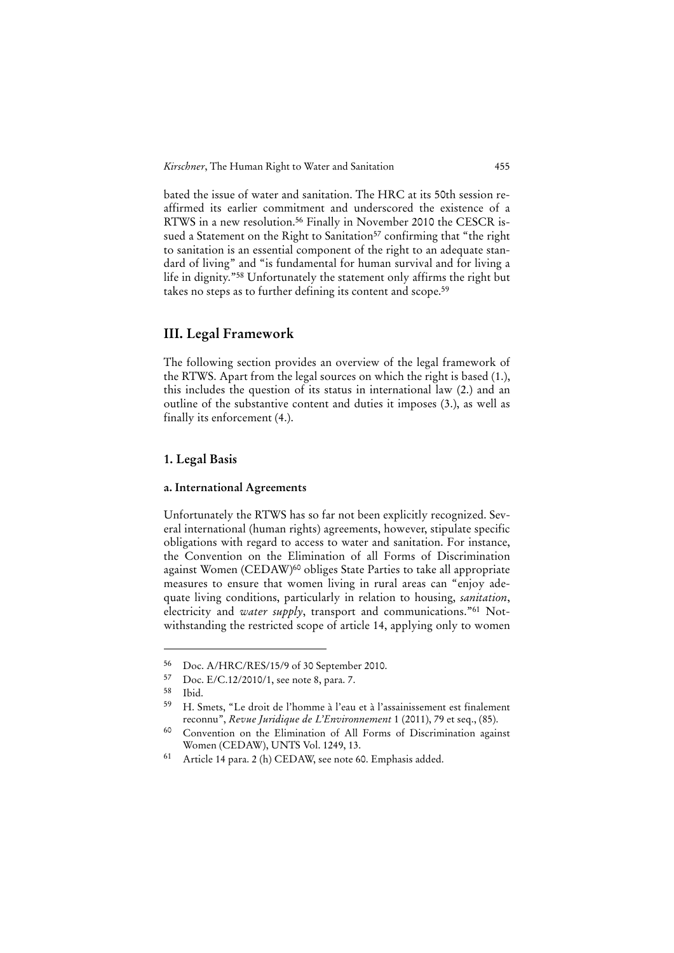bated the issue of water and sanitation. The HRC at its 50th session reaffirmed its earlier commitment and underscored the existence of a RTWS in a new resolution.56 Finally in November 2010 the CESCR issued a Statement on the Right to Sanitation<sup>57</sup> confirming that "the right to sanitation is an essential component of the right to an adequate standard of living" and "is fundamental for human survival and for living a life in dignity."58 Unfortunately the statement only affirms the right but takes no steps as to further defining its content and scope.<sup>59</sup>

# **III. Legal Framework**

The following section provides an overview of the legal framework of the RTWS. Apart from the legal sources on which the right is based (1.), this includes the question of its status in international law (2.) and an outline of the substantive content and duties it imposes (3.), as well as finally its enforcement (4.).

# **1. Legal Basis**

#### **a. International Agreements**

Unfortunately the RTWS has so far not been explicitly recognized. Several international (human rights) agreements, however, stipulate specific obligations with regard to access to water and sanitation. For instance, the Convention on the Elimination of all Forms of Discrimination against Women (CEDAW)60 obliges State Parties to take all appropriate measures to ensure that women living in rural areas can "enjoy adequate living conditions, particularly in relation to housing, *sanitation*, electricity and *water supply*, transport and communications."<sup>61</sup> Notwithstanding the restricted scope of article 14, applying only to women

<sup>56</sup> Doc. A/HRC/RES/15/9 of 30 September 2010.<br>57 Doc. E/C 12/2010/1, see note 8, pars. 7

Doc. E/C.12/2010/1, see note 8, para. 7.

<sup>58</sup> Ibid.

<sup>59</sup> H. Smets, "Le droit de l'homme à l'eau et à l'assainissement est finalement reconnu", *Revue Juridique de L'Environnement* 1 (2011), 79 et seq., (85).

<sup>60</sup> Convention on the Elimination of All Forms of Discrimination against Women (CEDAW), UNTS Vol. 1249, 13.

<sup>61</sup> Article 14 para. 2 (h) CEDAW, see note 60. Emphasis added.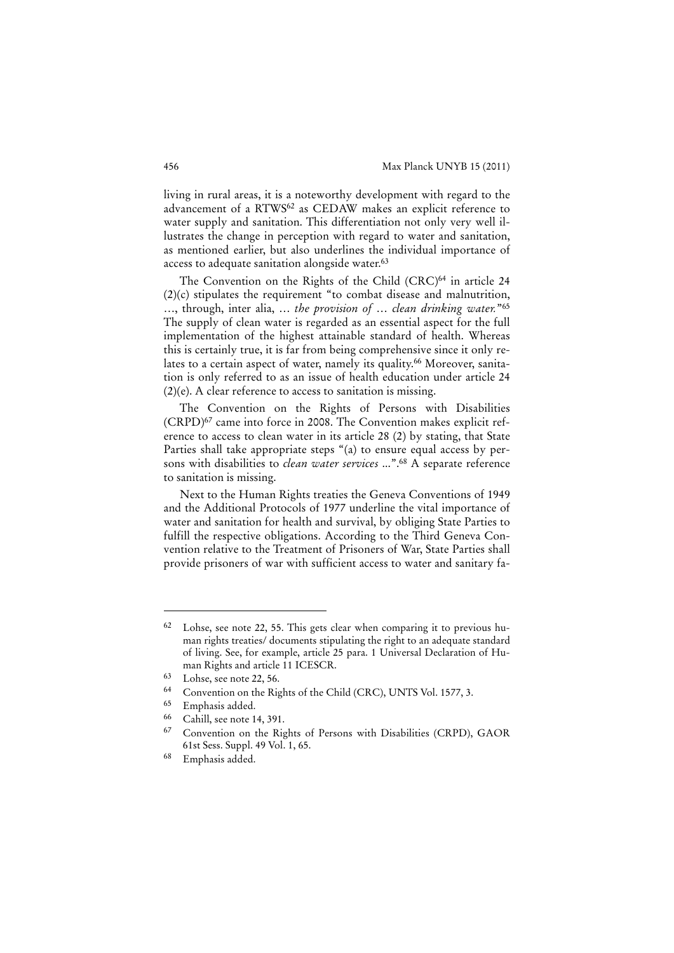living in rural areas, it is a noteworthy development with regard to the advancement of a RTWS62 as CEDAW makes an explicit reference to water supply and sanitation. This differentiation not only very well illustrates the change in perception with regard to water and sanitation, as mentioned earlier, but also underlines the individual importance of access to adequate sanitation alongside water.<sup>63</sup>

The Convention on the Rights of the Child (CRC)<sup>64</sup> in article 24 (2)(c) stipulates the requirement "to combat disease and malnutrition, …, through, inter alia, … *the provision of* … *clean drinking water.*"65 The supply of clean water is regarded as an essential aspect for the full implementation of the highest attainable standard of health. Whereas this is certainly true, it is far from being comprehensive since it only relates to a certain aspect of water, namely its quality.<sup>66</sup> Moreover, sanitation is only referred to as an issue of health education under article 24 (2)(e). A clear reference to access to sanitation is missing.

The Convention on the Rights of Persons with Disabilities (CRPD)67 came into force in 2008. The Convention makes explicit reference to access to clean water in its article 28 (2) by stating, that State Parties shall take appropriate steps "(a) to ensure equal access by persons with disabilities to *clean water services* ...".68 A separate reference to sanitation is missing.

Next to the Human Rights treaties the Geneva Conventions of 1949 and the Additional Protocols of 1977 underline the vital importance of water and sanitation for health and survival, by obliging State Parties to fulfill the respective obligations. According to the Third Geneva Convention relative to the Treatment of Prisoners of War, State Parties shall provide prisoners of war with sufficient access to water and sanitary fa-

Lohse, see note 22, 55. This gets clear when comparing it to previous human rights treaties/ documents stipulating the right to an adequate standard of living. See, for example, article 25 para. 1 Universal Declaration of Human Rights and article 11 ICESCR.

<sup>63</sup> Lohse, see note 22, 56.

<sup>64</sup> Convention on the Rights of the Child (CRC), UNTS Vol. 1577, 3.

<sup>65</sup> Emphasis added.

<sup>66</sup> Cahill, see note 14, 391.

<sup>67</sup> Convention on the Rights of Persons with Disabilities (CRPD), GAOR 61st Sess. Suppl. 49 Vol. 1, 65.

<sup>68</sup> Emphasis added.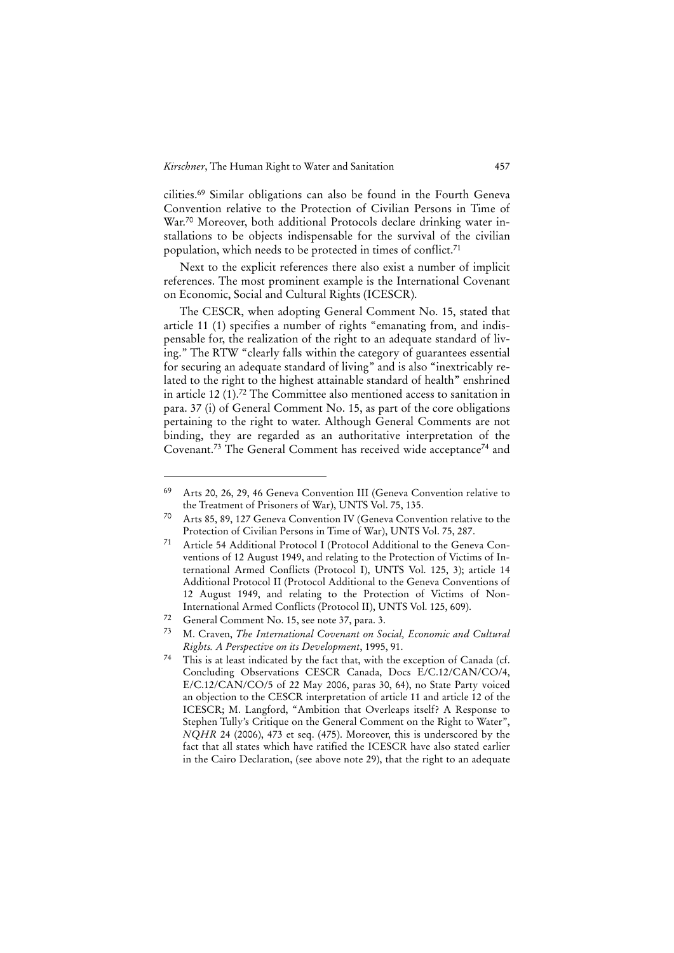cilities.69 Similar obligations can also be found in the Fourth Geneva Convention relative to the Protection of Civilian Persons in Time of War.70 Moreover, both additional Protocols declare drinking water installations to be objects indispensable for the survival of the civilian population, which needs to be protected in times of conflict.71

Next to the explicit references there also exist a number of implicit references. The most prominent example is the International Covenant on Economic, Social and Cultural Rights (ICESCR).

The CESCR, when adopting General Comment No. 15, stated that article 11 (1) specifies a number of rights "emanating from, and indispensable for, the realization of the right to an adequate standard of living." The RTW "clearly falls within the category of guarantees essential for securing an adequate standard of living" and is also "inextricably related to the right to the highest attainable standard of health" enshrined in article 12 (1).72 The Committee also mentioned access to sanitation in para. 37 (i) of General Comment No. 15, as part of the core obligations pertaining to the right to water. Although General Comments are not binding, they are regarded as an authoritative interpretation of the Covenant.73 The General Comment has received wide acceptance74 and

<sup>69</sup> Arts 20, 26, 29, 46 Geneva Convention III (Geneva Convention relative to the Treatment of Prisoners of War), UNTS Vol. 75, 135.

<sup>70</sup> Arts 85, 89, 127 Geneva Convention IV (Geneva Convention relative to the Protection of Civilian Persons in Time of War), UNTS Vol. 75, 287.

<sup>71</sup> Article 54 Additional Protocol I (Protocol Additional to the Geneva Conventions of 12 August 1949, and relating to the Protection of Victims of International Armed Conflicts (Protocol I), UNTS Vol. 125, 3); article 14 Additional Protocol II (Protocol Additional to the Geneva Conventions of 12 August 1949, and relating to the Protection of Victims of Non-International Armed Conflicts (Protocol II), UNTS Vol. 125, 609).

<sup>72</sup> General Comment No. 15, see note 37, para. 3.

<sup>73</sup> M. Craven, *The International Covenant on Social, Economic and Cultural Rights. A Perspective on its Development*, 1995, 91.

<sup>74</sup> This is at least indicated by the fact that, with the exception of Canada (cf. Concluding Observations CESCR Canada, Docs E/C.12/CAN/CO/4, E/C.12/CAN/CO/5 of 22 May 2006, paras 30, 64), no State Party voiced an objection to the CESCR interpretation of article 11 and article 12 of the ICESCR; M. Langford, "Ambition that Overleaps itself? A Response to Stephen Tully's Critique on the General Comment on the Right to Water", *NQHR* 24 (2006), 473 et seq. (475). Moreover, this is underscored by the fact that all states which have ratified the ICESCR have also stated earlier in the Cairo Declaration, (see above note 29), that the right to an adequate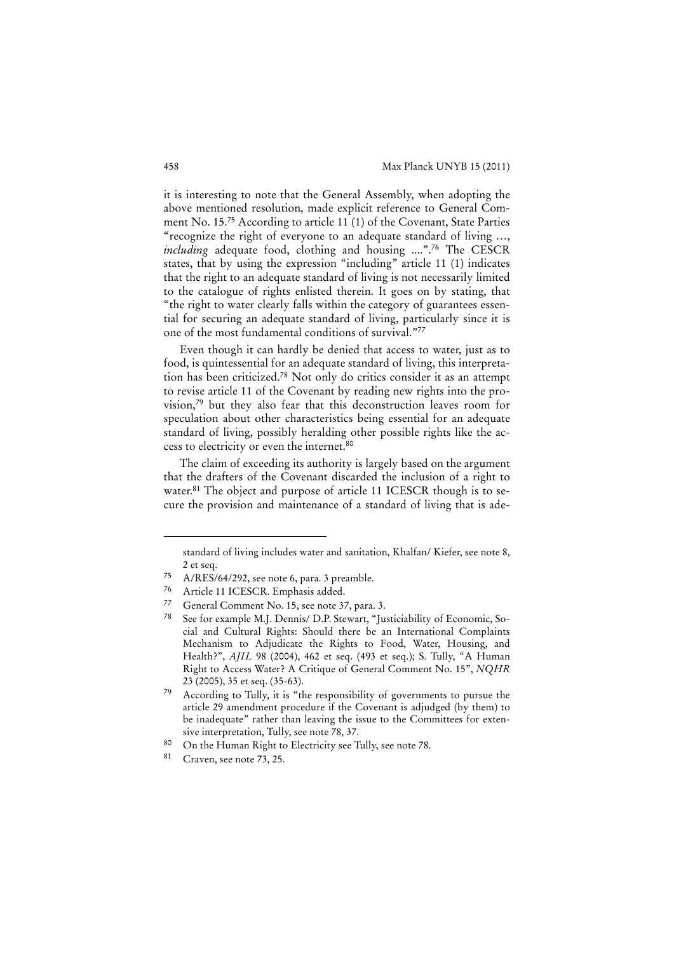it is interesting to note that the General Assembly, when adopting the above mentioned resolution, made explicit reference to General Comment No. 15.75 According to article 11 (1) of the Covenant, State Parties "recognize the right of everyone to an adequate standard of living …, *including* adequate food, clothing and housing ....".76 The CESCR states, that by using the expression "including" article 11 (1) indicates that the right to an adequate standard of living is not necessarily limited to the catalogue of rights enlisted therein. It goes on by stating, that "the right to water clearly falls within the category of guarantees essential for securing an adequate standard of living, particularly since it is one of the most fundamental conditions of survival."77

Even though it can hardly be denied that access to water, just as to food, is quintessential for an adequate standard of living, this interpretation has been criticized.78 Not only do critics consider it as an attempt to revise article 11 of the Covenant by reading new rights into the provision,79 but they also fear that this deconstruction leaves room for speculation about other characteristics being essential for an adequate standard of living, possibly heralding other possible rights like the access to electricity or even the internet.80

The claim of exceeding its authority is largely based on the argument that the drafters of the Covenant discarded the inclusion of a right to water.<sup>81</sup> The object and purpose of article 11 ICESCR though is to secure the provision and maintenance of a standard of living that is ade-

standard of living includes water and sanitation, Khalfan/ Kiefer, see note 8, 2 et seq.

<sup>75</sup> A/RES/64/292, see note 6, para. 3 preamble.

Article 11 ICESCR. Emphasis added.

<sup>77</sup> General Comment No. 15, see note 37, para. 3.

<sup>78</sup> See for example M.J. Dennis/ D.P. Stewart, "Justiciability of Economic, Social and Cultural Rights: Should there be an International Complaints Mechanism to Adjudicate the Rights to Food, Water, Housing, and Health?", *AJIL* 98 (2004), 462 et seq. (493 et seq.); S. Tully, "A Human Right to Access Water? A Critique of General Comment No. 15", *NQHR* 23 (2005), 35 et seq. (35-63).

According to Tully, it is "the responsibility of governments to pursue the article 29 amendment procedure if the Covenant is adjudged (by them) to be inadequate" rather than leaving the issue to the Committees for extensive interpretation, Tully, see note 78, 37.

<sup>80</sup> On the Human Right to Electricity see Tully, see note 78.

<sup>81</sup> Craven, see note 73, 25.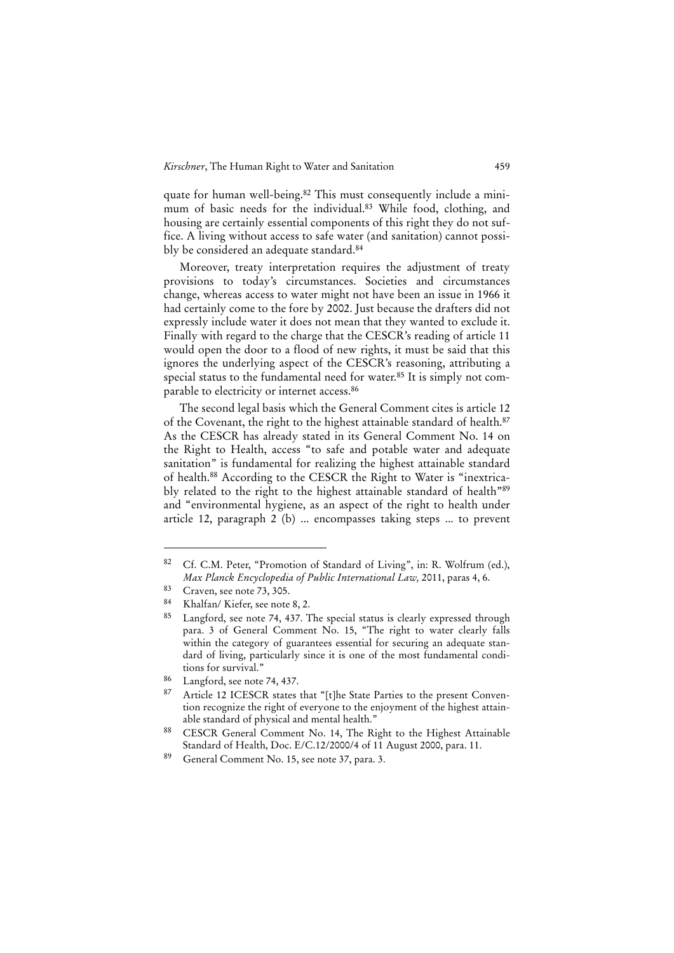quate for human well-being.82 This must consequently include a minimum of basic needs for the individual.83 While food, clothing, and housing are certainly essential components of this right they do not suffice. A living without access to safe water (and sanitation) cannot possibly be considered an adequate standard.<sup>84</sup>

Moreover, treaty interpretation requires the adjustment of treaty provisions to today's circumstances. Societies and circumstances change, whereas access to water might not have been an issue in 1966 it had certainly come to the fore by 2002. Just because the drafters did not expressly include water it does not mean that they wanted to exclude it. Finally with regard to the charge that the CESCR's reading of article 11 would open the door to a flood of new rights, it must be said that this ignores the underlying aspect of the CESCR's reasoning, attributing a special status to the fundamental need for water.85 It is simply not comparable to electricity or internet access.86

The second legal basis which the General Comment cites is article 12 of the Covenant, the right to the highest attainable standard of health.87 As the CESCR has already stated in its General Comment No. 14 on the Right to Health, access "to safe and potable water and adequate sanitation" is fundamental for realizing the highest attainable standard of health.88 According to the CESCR the Right to Water is "inextricably related to the right to the highest attainable standard of health"89 and "environmental hygiene, as an aspect of the right to health under article 12, paragraph 2 (b) ... encompasses taking steps ... to prevent

<sup>82</sup> Cf. C.M. Peter, "Promotion of Standard of Living", in: R. Wolfrum (ed.), *Max Planck Encyclopedia of Public International Law,* 2011, paras 4, 6.

 $83$  Craven, see note 73, 305.

<sup>84</sup> Khalfan/ Kiefer, see note 8, 2.

Langford, see note 74, 437. The special status is clearly expressed through para. 3 of General Comment No. 15, "The right to water clearly falls within the category of guarantees essential for securing an adequate standard of living, particularly since it is one of the most fundamental conditions for survival."

<sup>86</sup> Langford, see note 74, 437.

Article 12 ICESCR states that "[t]he State Parties to the present Convention recognize the right of everyone to the enjoyment of the highest attainable standard of physical and mental health."

<sup>88</sup> CESCR General Comment No. 14, The Right to the Highest Attainable Standard of Health, Doc. E/C.12/2000/4 of 11 August 2000, para. 11.

<sup>89</sup> General Comment No. 15, see note 37, para. 3.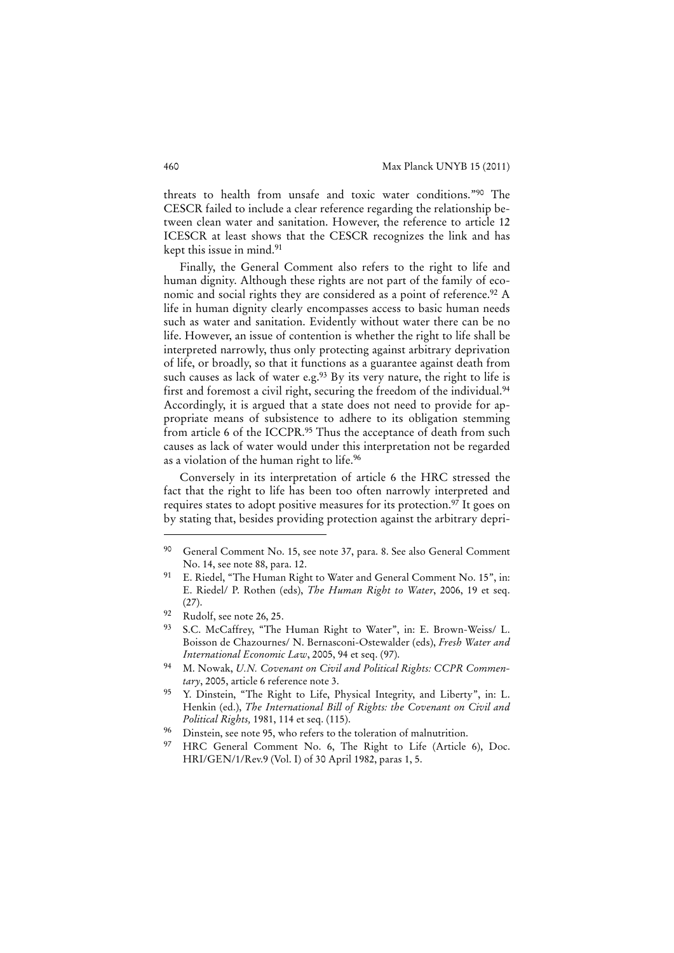threats to health from unsafe and toxic water conditions."90 The CESCR failed to include a clear reference regarding the relationship between clean water and sanitation. However, the reference to article 12 ICESCR at least shows that the CESCR recognizes the link and has kept this issue in mind.91

Finally, the General Comment also refers to the right to life and human dignity. Although these rights are not part of the family of economic and social rights they are considered as a point of reference.<sup>92</sup> A life in human dignity clearly encompasses access to basic human needs such as water and sanitation. Evidently without water there can be no life. However, an issue of contention is whether the right to life shall be interpreted narrowly, thus only protecting against arbitrary deprivation of life, or broadly, so that it functions as a guarantee against death from such causes as lack of water e.g.<sup>93</sup> By its very nature, the right to life is first and foremost a civil right, securing the freedom of the individual.<sup>94</sup> Accordingly, it is argued that a state does not need to provide for appropriate means of subsistence to adhere to its obligation stemming from article 6 of the ICCPR.<sup>95</sup> Thus the acceptance of death from such causes as lack of water would under this interpretation not be regarded as a violation of the human right to life.96

Conversely in its interpretation of article 6 the HRC stressed the fact that the right to life has been too often narrowly interpreted and requires states to adopt positive measures for its protection.<sup>97</sup> It goes on by stating that, besides providing protection against the arbitrary depri-

<sup>90</sup> General Comment No. 15, see note 37, para. 8. See also General Comment No. 14, see note 88, para. 12.

E. Riedel, "The Human Right to Water and General Comment No. 15", in: E. Riedel/ P. Rothen (eds), *The Human Right to Water*, 2006, 19 et seq.  $(27)$ .

<sup>92</sup> Rudolf, see note 26, 25.

<sup>93</sup> S.C. McCaffrey, "The Human Right to Water", in: E. Brown-Weiss/ L. Boisson de Chazournes/ N. Bernasconi-Ostewalder (eds), *Fresh Water and International Economic Law*, 2005, 94 et seq. (97).

<sup>94</sup> M. Nowak, *U.N. Covenant on Civil and Political Rights: CCPR Commentary*, 2005, article 6 reference note 3.

<sup>95</sup> Y. Dinstein, "The Right to Life, Physical Integrity, and Liberty", in: L. Henkin (ed.), *The International Bill of Rights: the Covenant on Civil and Political Rights,* 1981, 114 et seq. (115).

<sup>&</sup>lt;sup>96</sup> Dinstein, see note 95, who refers to the toleration of malnutrition.

<sup>97</sup> HRC General Comment No. 6, The Right to Life (Article 6), Doc. HRI/GEN/1/Rev.9 (Vol. I) of 30 April 1982, paras 1, 5.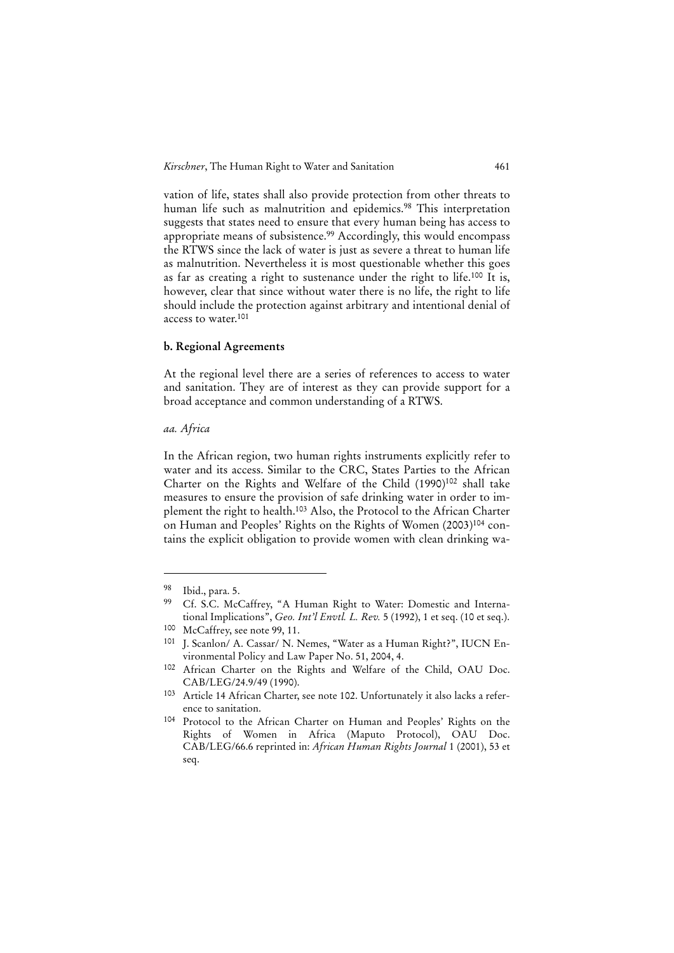vation of life, states shall also provide protection from other threats to human life such as malnutrition and epidemics.<sup>98</sup> This interpretation suggests that states need to ensure that every human being has access to appropriate means of subsistence.99 Accordingly, this would encompass the RTWS since the lack of water is just as severe a threat to human life as malnutrition. Nevertheless it is most questionable whether this goes as far as creating a right to sustenance under the right to life.100 It is, however, clear that since without water there is no life, the right to life should include the protection against arbitrary and intentional denial of access to water.101

#### **b. Regional Agreements**

At the regional level there are a series of references to access to water and sanitation. They are of interest as they can provide support for a broad acceptance and common understanding of a RTWS.

#### *aa. Africa*

In the African region, two human rights instruments explicitly refer to water and its access. Similar to the CRC, States Parties to the African Charter on the Rights and Welfare of the Child (1990)<sup>102</sup> shall take measures to ensure the provision of safe drinking water in order to implement the right to health.103 Also, the Protocol to the African Charter on Human and Peoples' Rights on the Rights of Women (2003)<sup>104</sup> contains the explicit obligation to provide women with clean drinking wa-

 $\frac{98}{99}$  Ibid., para. 5.

Cf. S.C. McCaffrey, "A Human Right to Water: Domestic and International Implications", *Geo. Int'l Envtl. L. Rev.* 5 (1992), 1 et seq. (10 et seq.).

<sup>100</sup> McCaffrey, see note 99, 11.

<sup>101</sup> J. Scanlon/ A. Cassar/ N. Nemes, "Water as a Human Right?", IUCN Environmental Policy and Law Paper No. 51, 2004, 4.

<sup>102</sup> African Charter on the Rights and Welfare of the Child, OAU Doc. CAB/LEG/24.9/49 (1990).

<sup>103</sup> Article 14 African Charter, see note 102. Unfortunately it also lacks a reference to sanitation.

<sup>104</sup> Protocol to the African Charter on Human and Peoples' Rights on the Rights of Women in Africa (Maputo Protocol), OAU Doc. CAB/LEG/66.6 reprinted in: *African Human Rights Journal* 1 (2001), 53 et seq.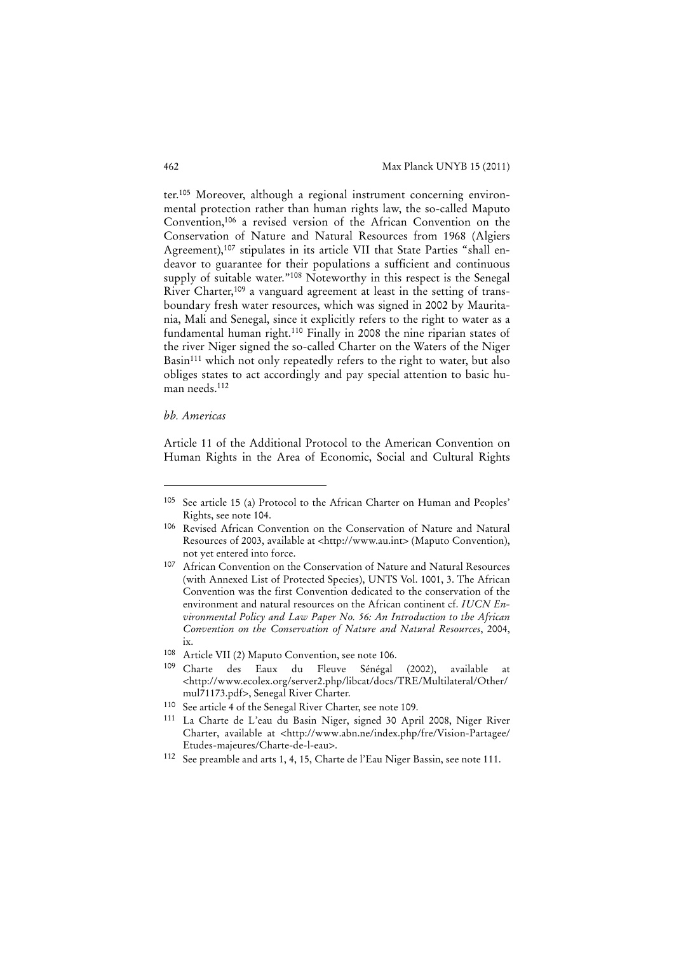ter.105 Moreover, although a regional instrument concerning environmental protection rather than human rights law, the so-called Maputo Convention,106 a revised version of the African Convention on the Conservation of Nature and Natural Resources from 1968 (Algiers Agreement),<sup>107</sup> stipulates in its article VII that State Parties "shall endeavor to guarantee for their populations a sufficient and continuous supply of suitable water."108 Noteworthy in this respect is the Senegal River Charter,109 a vanguard agreement at least in the setting of transboundary fresh water resources, which was signed in 2002 by Mauritania, Mali and Senegal, since it explicitly refers to the right to water as a fundamental human right.110 Finally in 2008 the nine riparian states of the river Niger signed the so-called Charter on the Waters of the Niger Basin<sup>111</sup> which not only repeatedly refers to the right to water, but also obliges states to act accordingly and pay special attention to basic human needs.112

#### *bb. Americas*

j

Article 11 of the Additional Protocol to the American Convention on Human Rights in the Area of Economic, Social and Cultural Rights

<sup>105</sup> See article 15 (a) Protocol to the African Charter on Human and Peoples' Rights, see note 104.

<sup>106</sup> Revised African Convention on the Conservation of Nature and Natural Resources of 2003, available at <http://www.au.int> (Maputo Convention), not yet entered into force.

<sup>107</sup> African Convention on the Conservation of Nature and Natural Resources (with Annexed List of Protected Species), UNTS Vol. 1001, 3. The African Convention was the first Convention dedicated to the conservation of the environment and natural resources on the African continent cf. *IUCN Environmental Policy and Law Paper No. 56: An Introduction to the African Convention on the Conservation of Nature and Natural Resources*, 2004, ix.

<sup>108</sup> Article VII (2) Maputo Convention, see note 106.

<sup>109</sup> Charte des Eaux du Fleuve Sénégal (2002), available at <http://www.ecolex.org/server2.php/libcat/docs/TRE/Multilateral/Other/ mul71173.pdf>, Senegal River Charter.

<sup>110</sup> See article 4 of the Senegal River Charter, see note 109.

<sup>111</sup> La Charte de L'eau du Basin Niger, signed 30 April 2008, Niger River Charter, available at <http://www.abn.ne/index.php/fre/Vision-Partagee/ Etudes-majeures/Charte-de-l-eau>.

<sup>112</sup> See preamble and arts 1, 4, 15, Charte de l'Eau Niger Bassin, see note 111.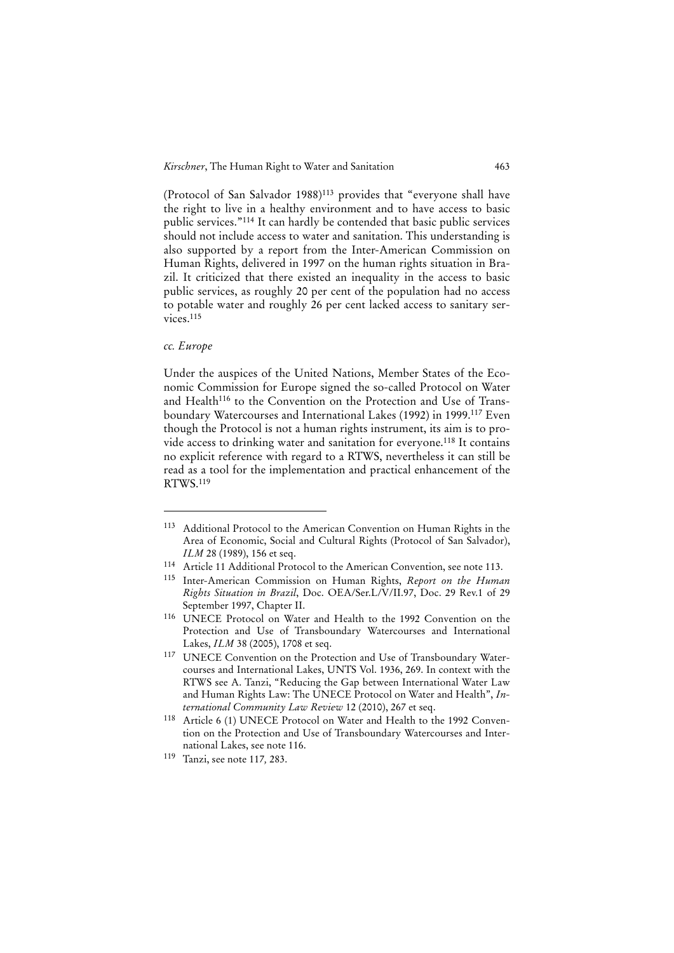(Protocol of San Salvador 1988)113 provides that "everyone shall have the right to live in a healthy environment and to have access to basic public services."114 It can hardly be contended that basic public services should not include access to water and sanitation. This understanding is also supported by a report from the Inter-American Commission on Human Rights, delivered in 1997 on the human rights situation in Brazil. It criticized that there existed an inequality in the access to basic public services, as roughly 20 per cent of the population had no access to potable water and roughly 26 per cent lacked access to sanitary services.<sup>115</sup>

#### *cc. Europe*

1

Under the auspices of the United Nations, Member States of the Economic Commission for Europe signed the so-called Protocol on Water and Health<sup>116</sup> to the Convention on the Protection and Use of Transboundary Watercourses and International Lakes (1992) in 1999.117 Even though the Protocol is not a human rights instrument, its aim is to provide access to drinking water and sanitation for everyone.118 It contains no explicit reference with regard to a RTWS, nevertheless it can still be read as a tool for the implementation and practical enhancement of the RTWS.119

- 114 Article 11 Additional Protocol to the American Convention, see note 113.
- 115 Inter-American Commission on Human Rights, *Report on the Human Rights Situation in Brazil*, Doc. OEA/Ser.L/V/II.97, Doc. 29 Rev.1 of 29 September 1997, Chapter II.
- 116 UNECE Protocol on Water and Health to the 1992 Convention on the Protection and Use of Transboundary Watercourses and International Lakes, *ILM* 38 (2005), 1708 et seq.
- <sup>117</sup> UNECE Convention on the Protection and Use of Transboundary Watercourses and International Lakes, UNTS Vol. 1936, 269. In context with the RTWS see A. Tanzi, "Reducing the Gap between International Water Law and Human Rights Law: The UNECE Protocol on Water and Health", *International Community Law Review* 12 (2010), 267 et seq.
- 118 Article 6 (1) UNECE Protocol on Water and Health to the 1992 Convention on the Protection and Use of Transboundary Watercourses and International Lakes, see note 116.
- 119 Tanzi, see note 117*,* 283.

<sup>113</sup> Additional Protocol to the American Convention on Human Rights in the Area of Economic, Social and Cultural Rights (Protocol of San Salvador), *ILM* 28 (1989), 156 et seq.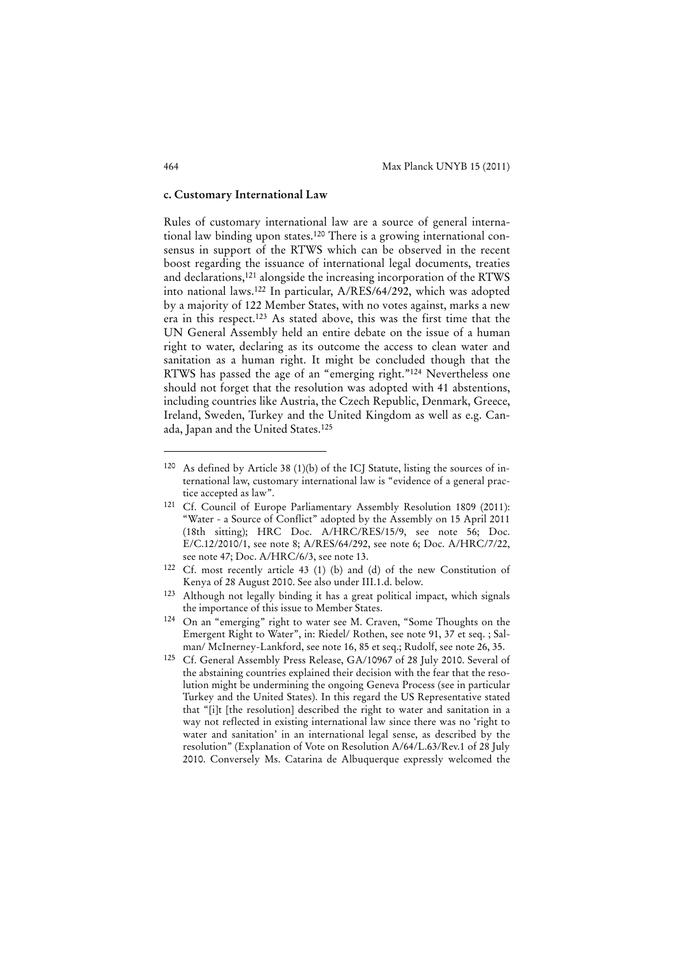#### **c. Customary International Law**

Rules of customary international law are a source of general international law binding upon states.120 There is a growing international consensus in support of the RTWS which can be observed in the recent boost regarding the issuance of international legal documents, treaties and declarations,121 alongside the increasing incorporation of the RTWS into national laws.122 In particular, A/RES/64/292, which was adopted by a majority of 122 Member States, with no votes against, marks a new era in this respect.123 As stated above, this was the first time that the UN General Assembly held an entire debate on the issue of a human right to water, declaring as its outcome the access to clean water and sanitation as a human right. It might be concluded though that the RTWS has passed the age of an "emerging right."124 Nevertheless one should not forget that the resolution was adopted with 41 abstentions, including countries like Austria, the Czech Republic, Denmark, Greece, Ireland, Sweden, Turkey and the United Kingdom as well as e.g. Canada, Japan and the United States.125

<sup>120</sup> As defined by Article 38 (1)(b) of the ICJ Statute, listing the sources of international law, customary international law is "evidence of a general practice accepted as law".

<sup>121</sup> Cf. Council of Europe Parliamentary Assembly Resolution 1809 (2011): "Water - a Source of Conflict" adopted by the Assembly on 15 April 2011 (18th sitting); HRC Doc. A/HRC/RES/15/9, see note 56; Doc. E/C.12/2010/1, see note 8; A/RES/64/292, see note 6; Doc. A/HRC/7/22, see note 47; Doc. A/HRC/6/3, see note 13.

<sup>122</sup> Cf. most recently article 43 (1) (b) and (d) of the new Constitution of Kenya of 28 August 2010. See also under III.1.d. below.

<sup>123</sup> Although not legally binding it has a great political impact, which signals the importance of this issue to Member States.

<sup>124</sup> On an "emerging" right to water see M. Craven, "Some Thoughts on the Emergent Right to Water", in: Riedel/ Rothen, see note 91, 37 et seq. ; Salman/ McInerney-Lankford, see note 16, 85 et seq.; Rudolf, see note 26, 35.

<sup>125</sup> Cf. General Assembly Press Release, GA/10967 of 28 July 2010. Several of the abstaining countries explained their decision with the fear that the resolution might be undermining the ongoing Geneva Process (see in particular Turkey and the United States). In this regard the US Representative stated that "[i]t [the resolution] described the right to water and sanitation in a way not reflected in existing international law since there was no 'right to water and sanitation' in an international legal sense, as described by the resolution" (Explanation of Vote on Resolution A/64/L.63/Rev.1 of 28 July 2010. Conversely Ms. Catarina de Albuquerque expressly welcomed the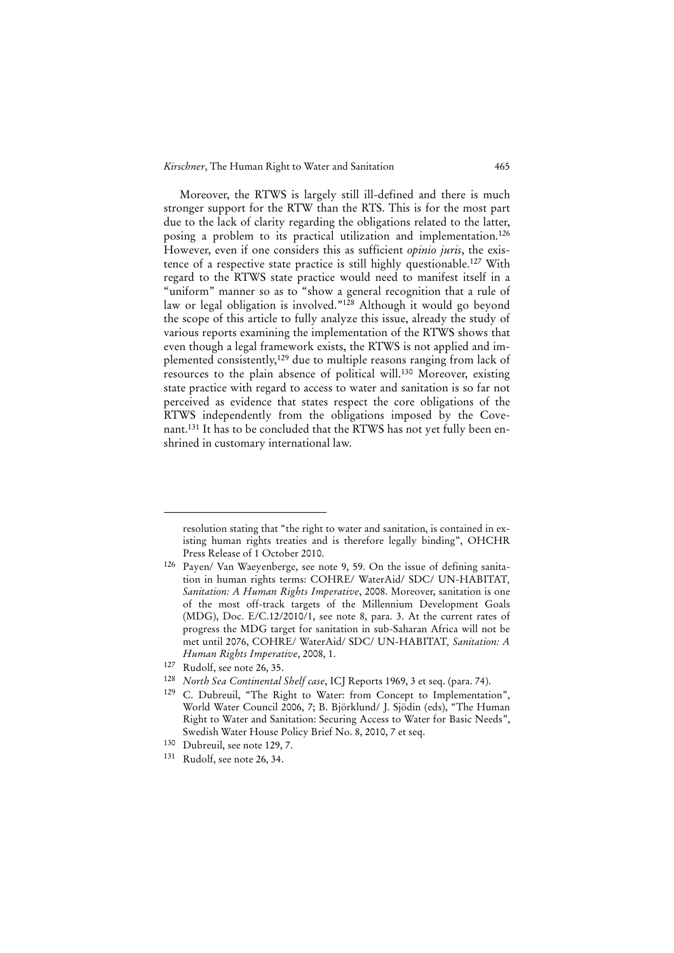Moreover, the RTWS is largely still ill-defined and there is much stronger support for the RTW than the RTS. This is for the most part due to the lack of clarity regarding the obligations related to the latter, posing a problem to its practical utilization and implementation.126 However, even if one considers this as sufficient *opinio juris*, the existence of a respective state practice is still highly questionable.127 With regard to the RTWS state practice would need to manifest itself in a "uniform" manner so as to "show a general recognition that a rule of law or legal obligation is involved."<sup>128</sup> Although it would go beyond the scope of this article to fully analyze this issue, already the study of various reports examining the implementation of the RTWS shows that even though a legal framework exists, the RTWS is not applied and implemented consistently,<sup>129</sup> due to multiple reasons ranging from lack of resources to the plain absence of political will.130 Moreover, existing state practice with regard to access to water and sanitation is so far not perceived as evidence that states respect the core obligations of the RTWS independently from the obligations imposed by the Covenant.131 It has to be concluded that the RTWS has not yet fully been enshrined in customary international law.

resolution stating that "the right to water and sanitation, is contained in existing human rights treaties and is therefore legally binding", OHCHR Press Release of 1 October 2010.

<sup>126</sup> Payen/ Van Waeyenberge, see note 9, 59. On the issue of defining sanitation in human rights terms: COHRE/ WaterAid/ SDC/ UN-HABITAT*, Sanitation: A Human Rights Imperative*, 2008. Moreover, sanitation is one of the most off-track targets of the Millennium Development Goals (MDG), Doc. E/C.12/2010/1, see note 8, para. 3. At the current rates of progress the MDG target for sanitation in sub-Saharan Africa will not be met until 2076, COHRE/ WaterAid/ SDC/ UN-HABITAT*, Sanitation: A Human Rights Imperative*, 2008, 1.

<sup>127</sup> Rudolf, see note 26, 35.

<sup>128</sup> *North Sea Continental Shelf case*, ICJ Reports 1969, 3 et seq. (para. 74).

<sup>129</sup> C. Dubreuil, "The Right to Water: from Concept to Implementation", World Water Council 2006, 7; B. Björklund/ J. Sjödin (eds), "The Human Right to Water and Sanitation: Securing Access to Water for Basic Needs", Swedish Water House Policy Brief No. 8, 2010, 7 et seq.

<sup>130</sup> Dubreuil, see note 129, 7.

<sup>131</sup> Rudolf, see note 26, 34.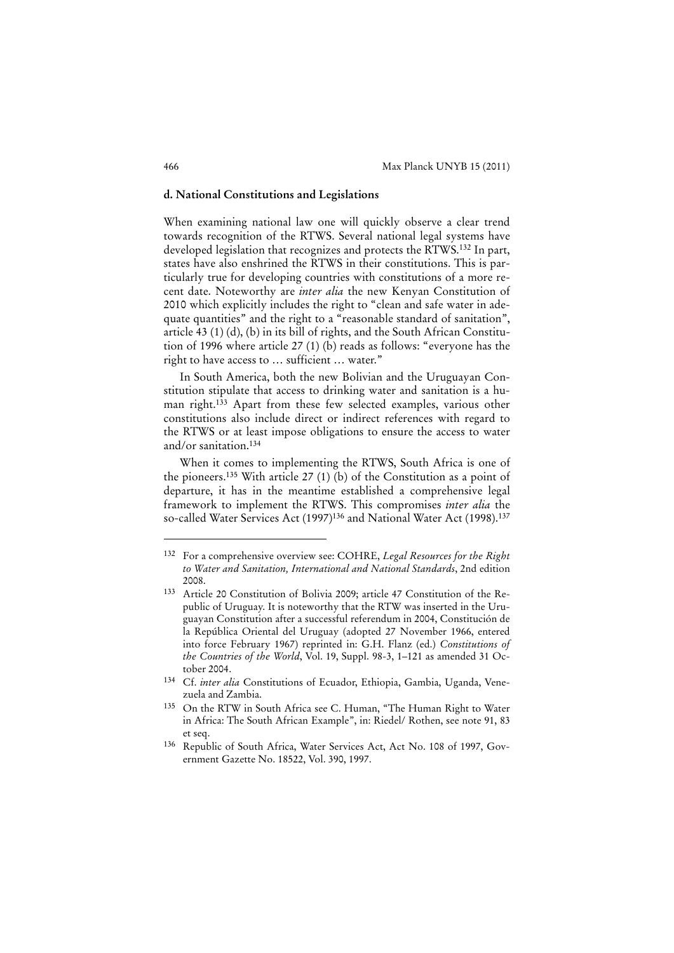#### **d. National Constitutions and Legislations**

When examining national law one will quickly observe a clear trend towards recognition of the RTWS. Several national legal systems have developed legislation that recognizes and protects the RTWS.132 In part, states have also enshrined the RTWS in their constitutions. This is particularly true for developing countries with constitutions of a more recent date. Noteworthy are *inter alia* the new Kenyan Constitution of 2010 which explicitly includes the right to "clean and safe water in adequate quantities" and the right to a "reasonable standard of sanitation", article 43 (1) (d), (b) in its bill of rights, and the South African Constitution of 1996 where article 27 (1) (b) reads as follows: "everyone has the right to have access to … sufficient … water."

In South America, both the new Bolivian and the Uruguayan Constitution stipulate that access to drinking water and sanitation is a human right.<sup>133</sup> Apart from these few selected examples, various other constitutions also include direct or indirect references with regard to the RTWS or at least impose obligations to ensure the access to water and/or sanitation.134

When it comes to implementing the RTWS, South Africa is one of the pioneers.135 With article 27 (1) (b) of the Constitution as a point of departure, it has in the meantime established a comprehensive legal framework to implement the RTWS. This compromises *inter alia* the so-called Water Services Act (1997)<sup>136</sup> and National Water Act (1998).<sup>137</sup>

<sup>132</sup> For a comprehensive overview see: COHRE, *Legal Resources for the Right to Water and Sanitation, International and National Standards*, 2nd edition 2008.

<sup>133</sup> Article 20 Constitution of Bolivia 2009; article 47 Constitution of the Republic of Uruguay. It is noteworthy that the RTW was inserted in the Uruguayan Constitution after a successful referendum in 2004, Constitución de la República Oriental del Uruguay (adopted 27 November 1966, entered into force February 1967) reprinted in: G.H. Flanz (ed.) *Constitutions of the Countries of the World*, Vol. 19, Suppl. 98-3, 1–121 as amended 31 October 2004.

<sup>134</sup> Cf. *inter alia* Constitutions of Ecuador, Ethiopia, Gambia, Uganda, Venezuela and Zambia.

<sup>135</sup> On the RTW in South Africa see C. Human, "The Human Right to Water in Africa: The South African Example", in: Riedel/ Rothen, see note 91, 83 et seq.

<sup>136</sup> Republic of South Africa, Water Services Act, Act No. 108 of 1997, Government Gazette No. 18522, Vol. 390, 1997.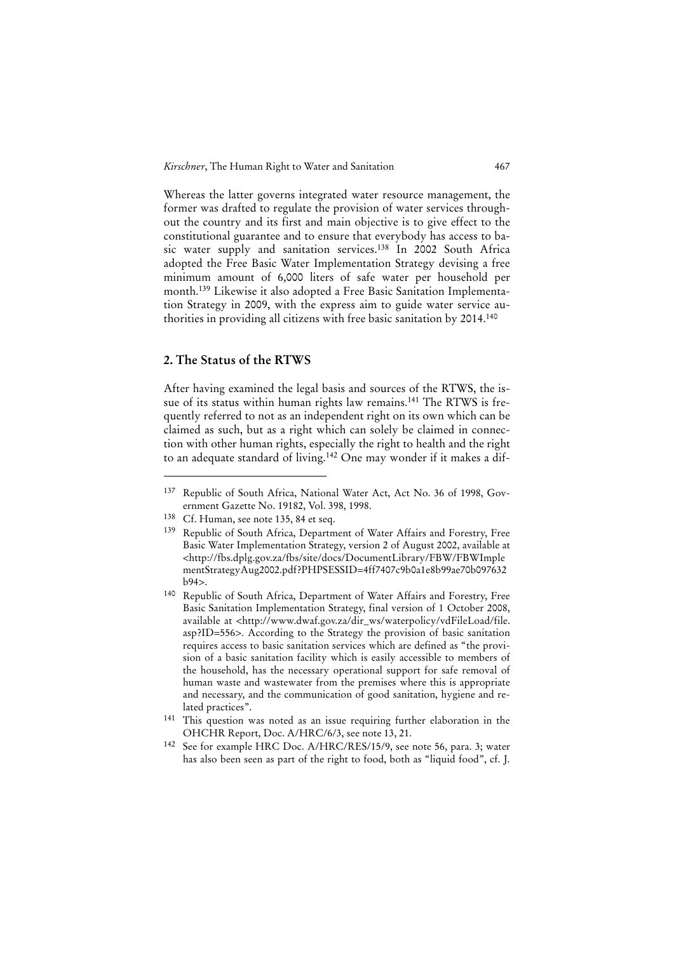Whereas the latter governs integrated water resource management, the former was drafted to regulate the provision of water services throughout the country and its first and main objective is to give effect to the constitutional guarantee and to ensure that everybody has access to basic water supply and sanitation services.138 In 2002 South Africa adopted the Free Basic Water Implementation Strategy devising a free minimum amount of 6,000 liters of safe water per household per month.139 Likewise it also adopted a Free Basic Sanitation Implementation Strategy in 2009, with the express aim to guide water service authorities in providing all citizens with free basic sanitation by 2014.140

# **2. The Status of the RTWS**

After having examined the legal basis and sources of the RTWS, the issue of its status within human rights law remains.141 The RTWS is frequently referred to not as an independent right on its own which can be claimed as such, but as a right which can solely be claimed in connection with other human rights, especially the right to health and the right to an adequate standard of living.142 One may wonder if it makes a dif-

<sup>137</sup> Republic of South Africa, National Water Act, Act No. 36 of 1998, Government Gazette No. 19182, Vol. 398, 1998.

<sup>138</sup> Cf. Human, see note 135, 84 et seq.

<sup>139</sup> Republic of South Africa, Department of Water Affairs and Forestry, Free Basic Water Implementation Strategy, version 2 of August 2002, available at <http://fbs.dplg.gov.za/fbs/site/docs/DocumentLibrary/FBW/FBWImple mentStrategyAug2002.pdf?PHPSESSID=4ff7407c9b0a1e8b99ae70b097632  $h94>$ 

<sup>140</sup> Republic of South Africa, Department of Water Affairs and Forestry, Free Basic Sanitation Implementation Strategy, final version of 1 October 2008, available at <http://www.dwaf.gov.za/dir\_ws/waterpolicy/vdFileLoad/file. asp?ID=556>. According to the Strategy the provision of basic sanitation requires access to basic sanitation services which are defined as "the provision of a basic sanitation facility which is easily accessible to members of the household, has the necessary operational support for safe removal of human waste and wastewater from the premises where this is appropriate and necessary, and the communication of good sanitation, hygiene and related practices".

<sup>141</sup> This question was noted as an issue requiring further elaboration in the OHCHR Report, Doc. A/HRC/6/3, see note 13, 21.

<sup>142</sup> See for example HRC Doc. A/HRC/RES/15/9, see note 56, para. 3; water has also been seen as part of the right to food, both as "liquid food", cf. J.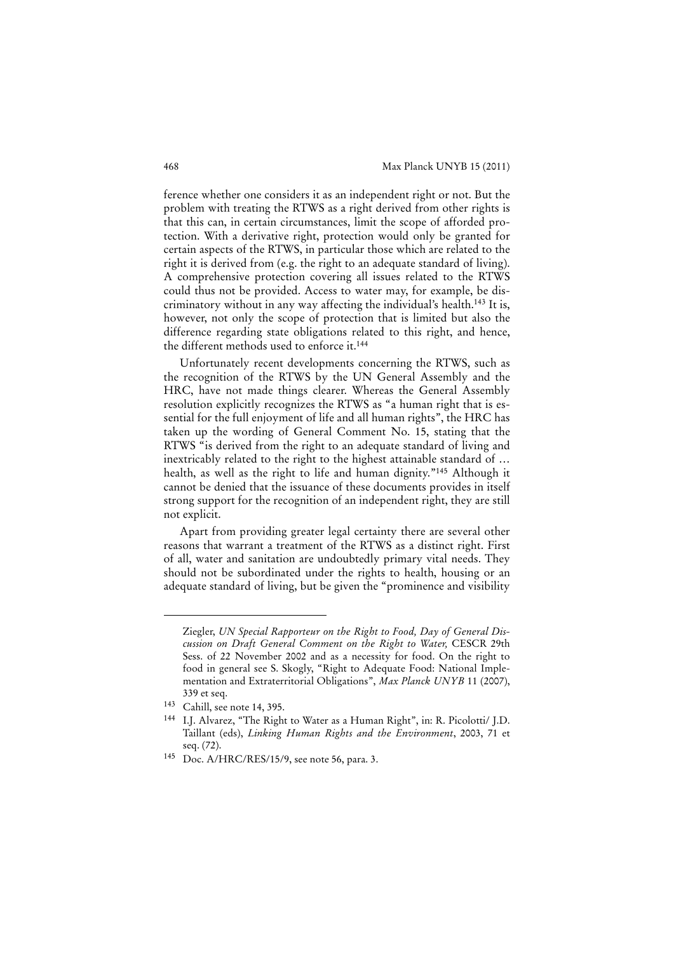ference whether one considers it as an independent right or not. But the problem with treating the RTWS as a right derived from other rights is that this can, in certain circumstances, limit the scope of afforded protection. With a derivative right, protection would only be granted for certain aspects of the RTWS, in particular those which are related to the right it is derived from (e.g. the right to an adequate standard of living). A comprehensive protection covering all issues related to the RTWS could thus not be provided. Access to water may, for example, be discriminatory without in any way affecting the individual's health.143 It is, however, not only the scope of protection that is limited but also the difference regarding state obligations related to this right, and hence, the different methods used to enforce it.144

Unfortunately recent developments concerning the RTWS, such as the recognition of the RTWS by the UN General Assembly and the HRC, have not made things clearer. Whereas the General Assembly resolution explicitly recognizes the RTWS as "a human right that is essential for the full enjoyment of life and all human rights", the HRC has taken up the wording of General Comment No. 15, stating that the RTWS "is derived from the right to an adequate standard of living and inextricably related to the right to the highest attainable standard of … health, as well as the right to life and human dignity."<sup>145</sup> Although it cannot be denied that the issuance of these documents provides in itself strong support for the recognition of an independent right, they are still not explicit.

Apart from providing greater legal certainty there are several other reasons that warrant a treatment of the RTWS as a distinct right. First of all, water and sanitation are undoubtedly primary vital needs. They should not be subordinated under the rights to health, housing or an adequate standard of living, but be given the "prominence and visibility

Ziegler, *UN Special Rapporteur on the Right to Food, Day of General Discussion on Draft General Comment on the Right to Water,* CESCR 29th Sess. of 22 November 2002 and as a necessity for food. On the right to food in general see S. Skogly, "Right to Adequate Food: National Implementation and Extraterritorial Obligations", *Max Planck UNYB* 11 (2007), 339 et seq.

<sup>143</sup> Cahill, see note 14, 395.

<sup>144</sup> I.J. Alvarez, "The Right to Water as a Human Right", in: R. Picolotti/ J.D. Taillant (eds), *Linking Human Rights and the Environment*, 2003, 71 et seq. (72).

<sup>145</sup> Doc. A/HRC/RES/15/9, see note 56, para. 3.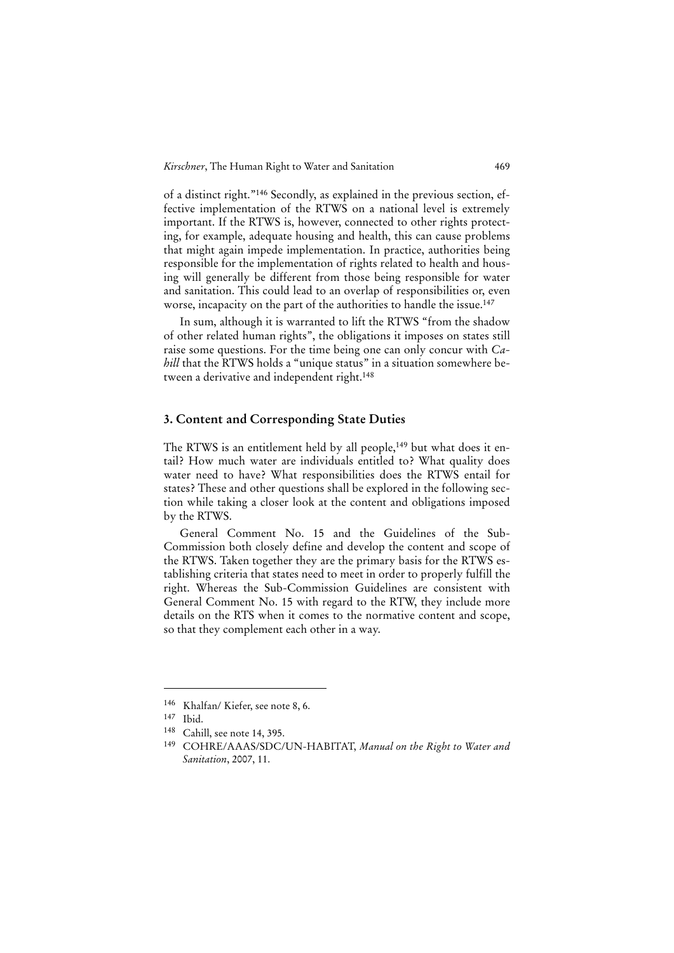*Kirschner*, The Human Right to Water and Sanitation 469

of a distinct right."146 Secondly, as explained in the previous section, effective implementation of the RTWS on a national level is extremely important. If the RTWS is, however, connected to other rights protecting, for example, adequate housing and health, this can cause problems that might again impede implementation. In practice, authorities being responsible for the implementation of rights related to health and housing will generally be different from those being responsible for water and sanitation. This could lead to an overlap of responsibilities or, even worse, incapacity on the part of the authorities to handle the issue.<sup>147</sup>

In sum, although it is warranted to lift the RTWS "from the shadow of other related human rights", the obligations it imposes on states still raise some questions. For the time being one can only concur with *Cahill* that the RTWS holds a "unique status" in a situation somewhere between a derivative and independent right.<sup>148</sup>

#### **3. Content and Corresponding State Duties**

The RTWS is an entitlement held by all people,<sup>149</sup> but what does it entail? How much water are individuals entitled to? What quality does water need to have? What responsibilities does the RTWS entail for states? These and other questions shall be explored in the following section while taking a closer look at the content and obligations imposed by the RTWS.

General Comment No. 15 and the Guidelines of the Sub-Commission both closely define and develop the content and scope of the RTWS. Taken together they are the primary basis for the RTWS establishing criteria that states need to meet in order to properly fulfill the right. Whereas the Sub-Commission Guidelines are consistent with General Comment No. 15 with regard to the RTW, they include more details on the RTS when it comes to the normative content and scope, so that they complement each other in a way.

<sup>146</sup> Khalfan/ Kiefer, see note 8, 6.

<sup>147</sup> Ibid.

<sup>148</sup> Cahill, see note 14, 395.

<sup>149</sup> COHRE/AAAS/SDC/UN-HABITAT, *Manual on the Right to Water and Sanitation*, 2007, 11.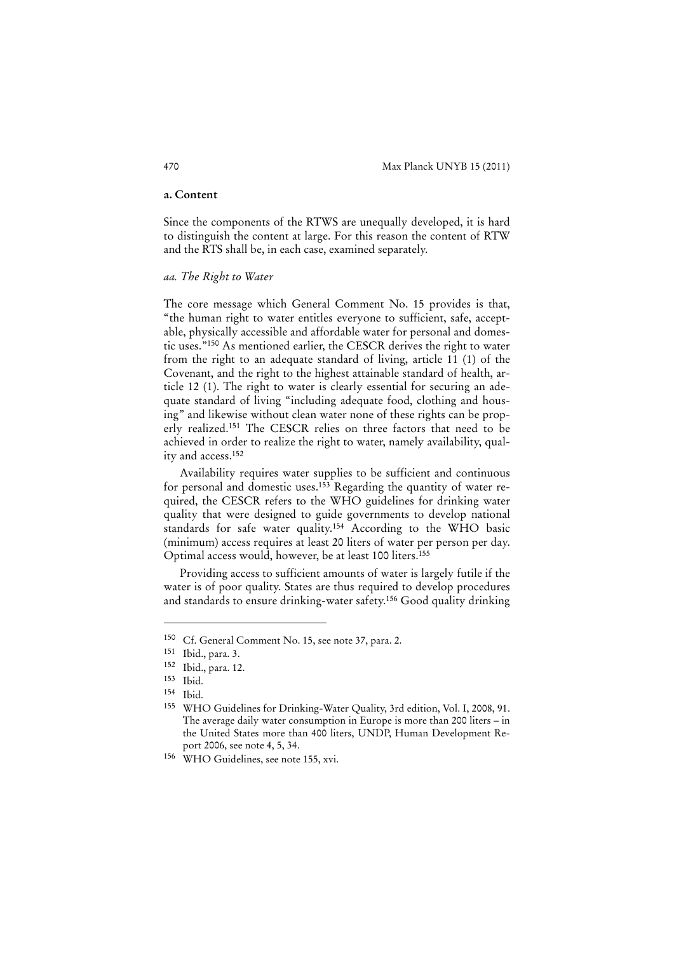#### **a. Content**

Since the components of the RTWS are unequally developed, it is hard to distinguish the content at large. For this reason the content of RTW and the RTS shall be, in each case, examined separately.

#### *aa. The Right to Water*

The core message which General Comment No. 15 provides is that, "the human right to water entitles everyone to sufficient, safe, acceptable, physically accessible and affordable water for personal and domestic uses."150 As mentioned earlier, the CESCR derives the right to water from the right to an adequate standard of living, article 11 (1) of the Covenant, and the right to the highest attainable standard of health, article 12 (1). The right to water is clearly essential for securing an adequate standard of living "including adequate food, clothing and housing" and likewise without clean water none of these rights can be properly realized.151 The CESCR relies on three factors that need to be achieved in order to realize the right to water, namely availability, quality and access.152

Availability requires water supplies to be sufficient and continuous for personal and domestic uses.153 Regarding the quantity of water required, the CESCR refers to the WHO guidelines for drinking water quality that were designed to guide governments to develop national standards for safe water quality.154 According to the WHO basic (minimum) access requires at least 20 liters of water per person per day. Optimal access would, however, be at least 100 liters.155

Providing access to sufficient amounts of water is largely futile if the water is of poor quality. States are thus required to develop procedures and standards to ensure drinking-water safety.156 Good quality drinking

<sup>150</sup> Cf. General Comment No. 15, see note 37, para. 2.

<sup>151</sup> Ibid., para. 3.

<sup>152</sup> Ibid., para. 12.

<sup>153</sup> Ibid.

<sup>154</sup> Ibid.

<sup>155</sup> WHO Guidelines for Drinking-Water Quality, 3rd edition, Vol. I, 2008, 91. The average daily water consumption in Europe is more than 200 liters – in the United States more than 400 liters, UNDP, Human Development Report 2006, see note 4, 5, 34.

<sup>156</sup> WHO Guidelines, see note 155, xvi.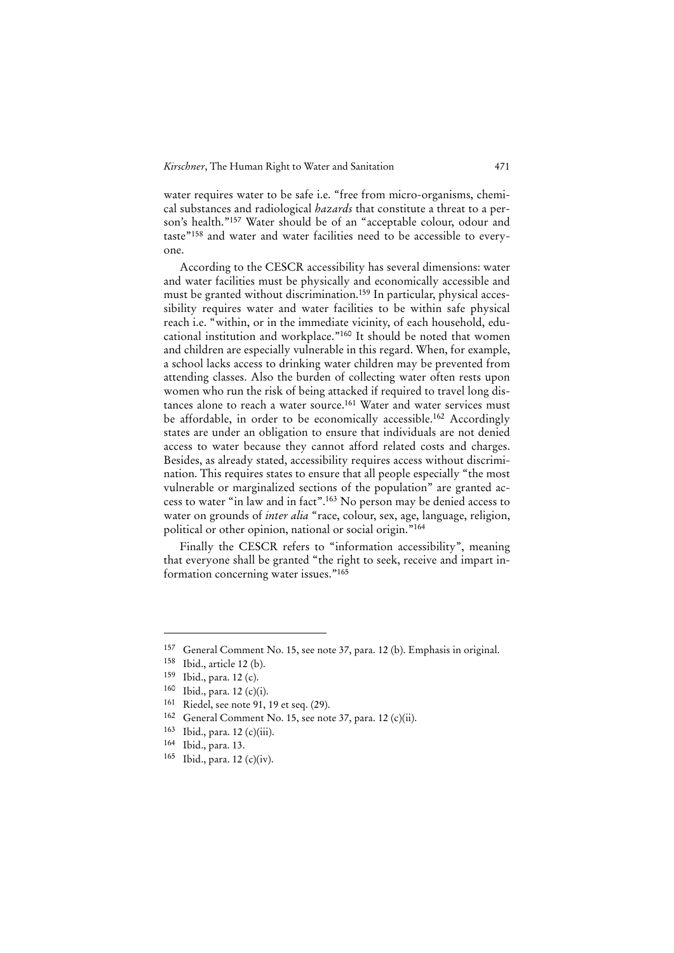water requires water to be safe i.e. "free from micro-organisms, chemical substances and radiological *hazards* that constitute a threat to a person's health."157 Water should be of an "acceptable colour, odour and taste"158 and water and water facilities need to be accessible to everyone.

According to the CESCR accessibility has several dimensions: water and water facilities must be physically and economically accessible and must be granted without discrimination.159 In particular, physical accessibility requires water and water facilities to be within safe physical reach i.e. "within, or in the immediate vicinity, of each household, educational institution and workplace."160 It should be noted that women and children are especially vulnerable in this regard. When, for example, a school lacks access to drinking water children may be prevented from attending classes. Also the burden of collecting water often rests upon women who run the risk of being attacked if required to travel long distances alone to reach a water source.<sup>161</sup> Water and water services must be affordable, in order to be economically accessible.<sup>162</sup> Accordingly states are under an obligation to ensure that individuals are not denied access to water because they cannot afford related costs and charges. Besides, as already stated, accessibility requires access without discrimination. This requires states to ensure that all people especially "the most vulnerable or marginalized sections of the population" are granted access to water "in law and in fact".163 No person may be denied access to water on grounds of *inter alia* "race, colour, sex, age, language, religion, political or other opinion, national or social origin."164

Finally the CESCR refers to "information accessibility", meaning that everyone shall be granted "the right to seek, receive and impart information concerning water issues."165

<sup>&</sup>lt;sup>157</sup> General Comment No. 15, see note 37, para. 12 (b). Emphasis in original.<br><sup>158</sup> Ibid. article 12 (b)

 $158$  Ibid., article 12 (b).

Ibid., para. 12 (c).

<sup>160</sup> Ibid., para. 12 (c)(i).

<sup>&</sup>lt;sup>161</sup> Riedel, see note 91, 19 et seq.  $(29)$ .<br><sup>162</sup> Ceneral Comment No. 15 see not

General Comment No. 15, see note 37, para. 12 (c)(ii).

<sup>163</sup> Ibid., para. 12 (c)(iii).

<sup>164</sup> Ibid., para. 13.

<sup>165</sup> Ibid., para. 12 (c)(iv).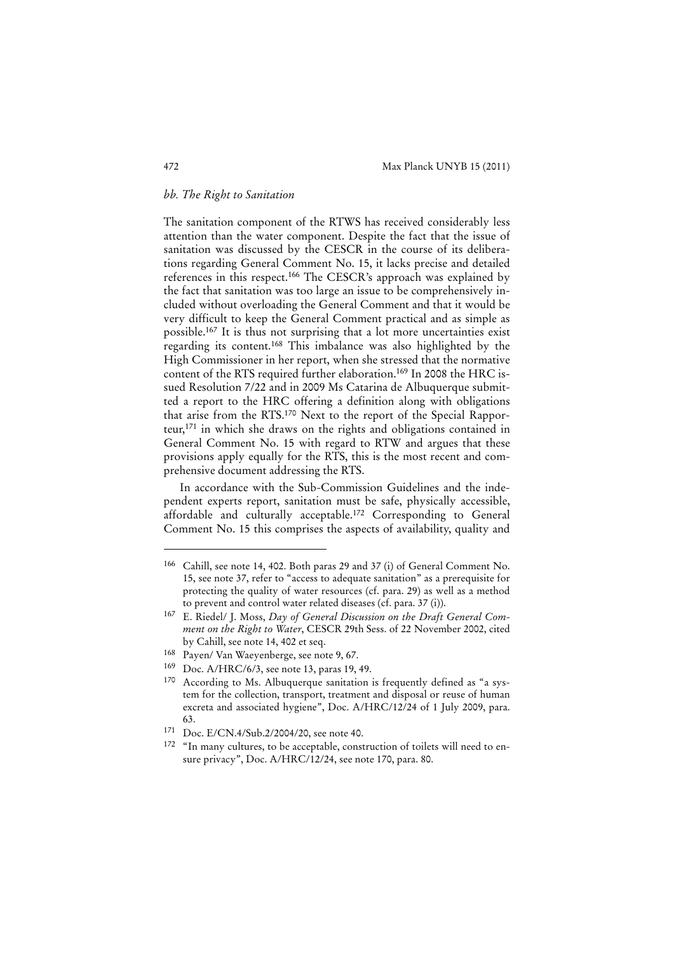# *bb. The Right to Sanitation*

The sanitation component of the RTWS has received considerably less attention than the water component. Despite the fact that the issue of sanitation was discussed by the CESCR in the course of its deliberations regarding General Comment No. 15, it lacks precise and detailed references in this respect.166 The CESCR's approach was explained by the fact that sanitation was too large an issue to be comprehensively included without overloading the General Comment and that it would be very difficult to keep the General Comment practical and as simple as possible.167 It is thus not surprising that a lot more uncertainties exist regarding its content.168 This imbalance was also highlighted by the High Commissioner in her report, when she stressed that the normative content of the RTS required further elaboration.169 In 2008 the HRC issued Resolution 7/22 and in 2009 Ms Catarina de Albuquerque submitted a report to the HRC offering a definition along with obligations that arise from the RTS.170 Next to the report of the Special Rapporteur,171 in which she draws on the rights and obligations contained in General Comment No. 15 with regard to RTW and argues that these provisions apply equally for the RTS, this is the most recent and comprehensive document addressing the RTS.

In accordance with the Sub-Commission Guidelines and the independent experts report, sanitation must be safe, physically accessible, affordable and culturally acceptable.172 Corresponding to General Comment No. 15 this comprises the aspects of availability, quality and

<sup>166</sup> Cahill, see note 14, 402. Both paras 29 and 37 (i) of General Comment No. 15, see note 37, refer to "access to adequate sanitation" as a prerequisite for protecting the quality of water resources (cf. para. 29) as well as a method to prevent and control water related diseases (cf. para. 37 (i)).

<sup>167</sup> E. Riedel/ J. Moss, *Day of General Discussion on the Draft General Comment on the Right to Water*, CESCR 29th Sess. of 22 November 2002, cited by Cahill, see note 14, 402 et seq.

<sup>168</sup> Payen/ Van Waeyenberge, see note 9, 67.

<sup>169</sup> Doc. A/HRC/6/3, see note 13, paras 19, 49.

<sup>170</sup> According to Ms. Albuquerque sanitation is frequently defined as "a system for the collection, transport, treatment and disposal or reuse of human excreta and associated hygiene", Doc. A/HRC/12/24 of 1 July 2009, para. 63.

<sup>171</sup> Doc. E/CN.4/Sub.2/2004/20, see note 40.

<sup>&</sup>lt;sup>172</sup> "In many cultures, to be acceptable, construction of toilets will need to ensure privacy", Doc. A/HRC/12/24, see note 170, para. 80.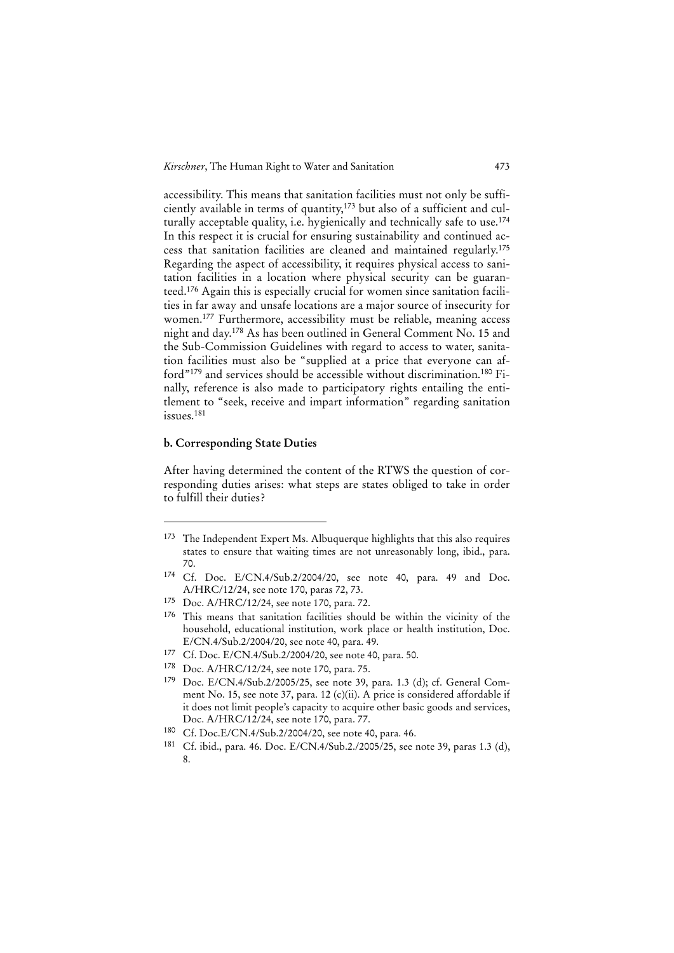accessibility. This means that sanitation facilities must not only be sufficiently available in terms of quantity,173 but also of a sufficient and culturally acceptable quality, i.e. hygienically and technically safe to use.<sup>174</sup> In this respect it is crucial for ensuring sustainability and continued access that sanitation facilities are cleaned and maintained regularly.175 Regarding the aspect of accessibility, it requires physical access to sanitation facilities in a location where physical security can be guaranteed.176 Again this is especially crucial for women since sanitation facilities in far away and unsafe locations are a major source of insecurity for women.177 Furthermore, accessibility must be reliable, meaning access night and day.178 As has been outlined in General Comment No. 15 and the Sub-Commission Guidelines with regard to access to water, sanitation facilities must also be "supplied at a price that everyone can afford"179 and services should be accessible without discrimination.180 Finally, reference is also made to participatory rights entailing the entitlement to "seek, receive and impart information" regarding sanitation issues.181

#### **b. Corresponding State Duties**

 $\overline{a}$ 

After having determined the content of the RTWS the question of corresponding duties arises: what steps are states obliged to take in order to fulfill their duties?

- 177 Cf. Doc. E/CN.4/Sub.2/2004/20, see note 40, para. 50.
- 178 Doc. A/HRC/12/24, see note 170, para. 75.

<sup>173</sup> The Independent Expert Ms. Albuquerque highlights that this also requires states to ensure that waiting times are not unreasonably long, ibid., para. 70.

<sup>174</sup> Cf. Doc. E/CN.4/Sub.2/2004/20, see note 40, para. 49 and Doc. A/HRC/12/24, see note 170, paras 72, 73.

<sup>175</sup> Doc. A/HRC/12/24, see note 170, para. 72.

<sup>176</sup> This means that sanitation facilities should be within the vicinity of the household, educational institution, work place or health institution, Doc. E/CN.4/Sub.2/2004/20, see note 40, para. 49.

<sup>179</sup> Doc. E/CN.4/Sub.2/2005/25, see note 39, para. 1.3 (d); cf. General Comment No. 15, see note 37, para. 12 (c)(ii). A price is considered affordable if it does not limit people's capacity to acquire other basic goods and services, Doc. A/HRC/12/24, see note 170, para. 77.

<sup>180</sup> Cf. Doc.E/CN.4/Sub.2/2004/20, see note 40, para. 46.

<sup>181</sup> Cf. ibid., para. 46. Doc. E/CN.4/Sub.2./2005/25, see note 39, paras 1.3 (d), 8.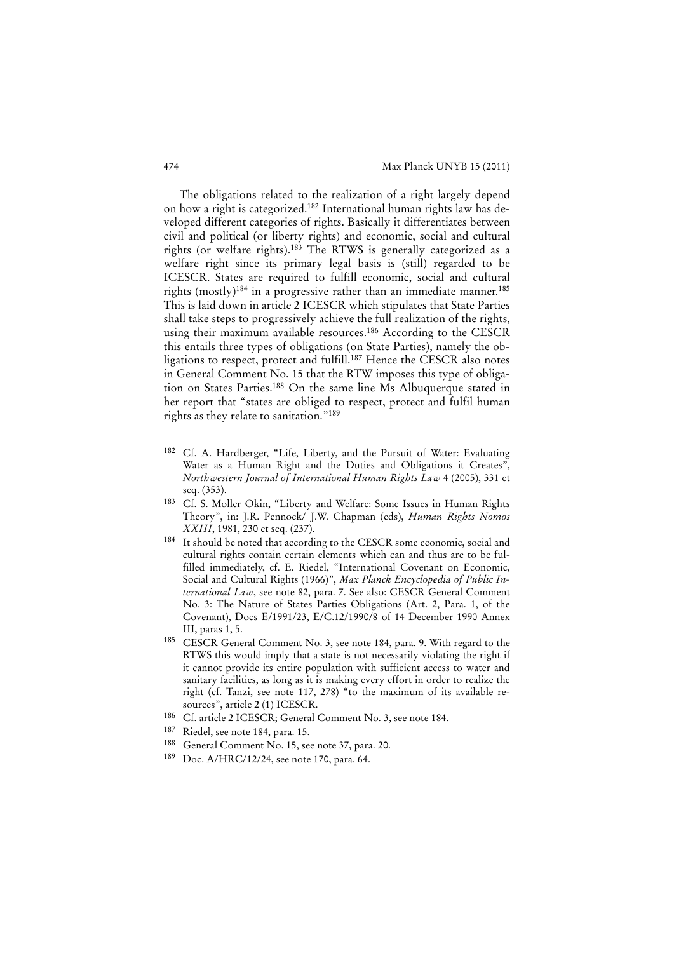The obligations related to the realization of a right largely depend on how a right is categorized.182 International human rights law has developed different categories of rights. Basically it differentiates between civil and political (or liberty rights) and economic, social and cultural rights (or welfare rights).183 The RTWS is generally categorized as a welfare right since its primary legal basis is (still) regarded to be ICESCR. States are required to fulfill economic, social and cultural rights (mostly)<sup>184</sup> in a progressive rather than an immediate manner.<sup>185</sup> This is laid down in article 2 ICESCR which stipulates that State Parties shall take steps to progressively achieve the full realization of the rights, using their maximum available resources.186 According to the CESCR this entails three types of obligations (on State Parties), namely the obligations to respect, protect and fulfill.187 Hence the CESCR also notes in General Comment No. 15 that the RTW imposes this type of obligation on States Parties.188 On the same line Ms Albuquerque stated in her report that "states are obliged to respect, protect and fulfil human rights as they relate to sanitation."189

- 183 Cf. S. Moller Okin, "Liberty and Welfare: Some Issues in Human Rights Theory", in: J.R. Pennock/ J.W. Chapman (eds), *Human Rights Nomos XXIII*, 1981, 230 et seq. (237).
- 184 It should be noted that according to the CESCR some economic, social and cultural rights contain certain elements which can and thus are to be fulfilled immediately, cf. E. Riedel, "International Covenant on Economic, Social and Cultural Rights (1966)", *Max Planck Encyclopedia of Public International Law*, see note 82, para. 7. See also: CESCR General Comment No. 3: The Nature of States Parties Obligations (Art. 2, Para. 1, of the Covenant), Docs E/1991/23, E/C.12/1990/8 of 14 December 1990 Annex III, paras 1, 5.
- 185 CESCR General Comment No. 3, see note 184, para. 9. With regard to the RTWS this would imply that a state is not necessarily violating the right if it cannot provide its entire population with sufficient access to water and sanitary facilities, as long as it is making every effort in order to realize the right (cf. Tanzi, see note 117, 278) "to the maximum of its available resources", article 2 (1) ICESCR.
- 186 Cf. article 2 ICESCR; General Comment No. 3, see note 184.
- 187 Riedel, see note 184, para. 15.
- 188 General Comment No. 15, see note 37, para. 20.
- 189 Doc. A/HRC/12/24, see note 170, para. 64.

<sup>182</sup> Cf. A. Hardberger, "Life, Liberty, and the Pursuit of Water: Evaluating Water as a Human Right and the Duties and Obligations it Creates", *Northwestern Journal of International Human Rights Law* 4 (2005), 331 et seq. (353).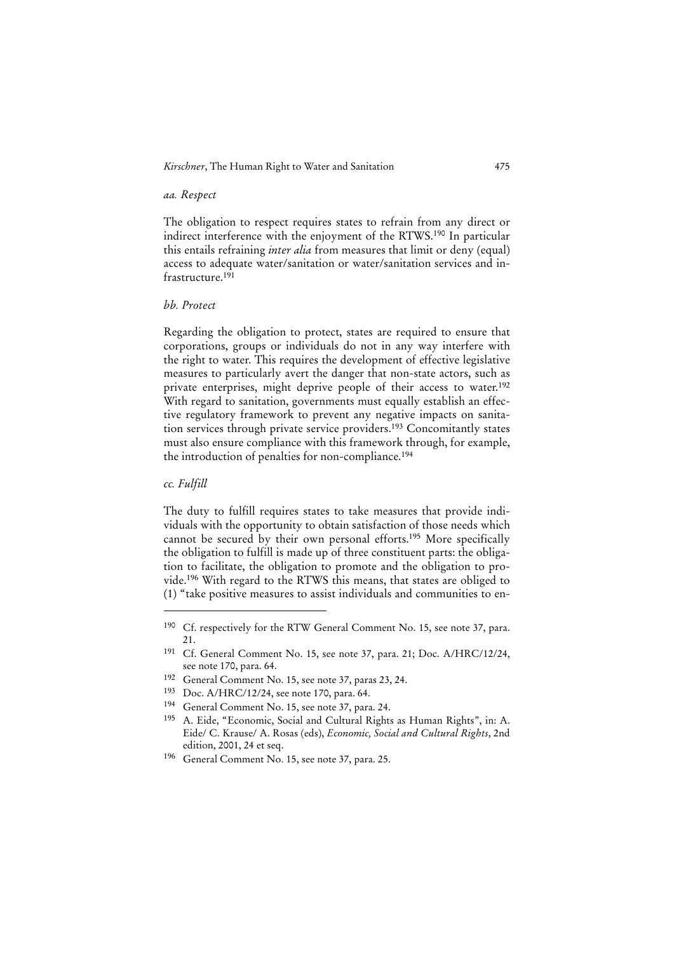# *Kirschner*, The Human Right to Water and Sanitation 475

#### *aa. Respect*

The obligation to respect requires states to refrain from any direct or indirect interference with the enjoyment of the RTWS.190 In particular this entails refraining *inter alia* from measures that limit or deny (equal) access to adequate water/sanitation or water/sanitation services and infrastructure.191

#### *bb. Protect*

Regarding the obligation to protect, states are required to ensure that corporations, groups or individuals do not in any way interfere with the right to water. This requires the development of effective legislative measures to particularly avert the danger that non-state actors, such as private enterprises, might deprive people of their access to water.<sup>192</sup> With regard to sanitation, governments must equally establish an effective regulatory framework to prevent any negative impacts on sanitation services through private service providers.193 Concomitantly states must also ensure compliance with this framework through, for example, the introduction of penalties for non-compliance.<sup>194</sup>

#### *cc. Fulfill*

j

The duty to fulfill requires states to take measures that provide individuals with the opportunity to obtain satisfaction of those needs which cannot be secured by their own personal efforts.195 More specifically the obligation to fulfill is made up of three constituent parts: the obligation to facilitate, the obligation to promote and the obligation to provide.196 With regard to the RTWS this means, that states are obliged to (1) "take positive measures to assist individuals and communities to en-

- 192 General Comment No. 15, see note 37, paras 23, 24.
- 193 Doc. A/HRC/12/24, see note 170, para. 64.
- 194 General Comment No. 15, see note 37, para. 24.
- 195 A. Eide, "Economic, Social and Cultural Rights as Human Rights", in: A. Eide/ C. Krause/ A. Rosas (eds), *Economic, Social and Cultural Rights*, 2nd edition, 2001, 24 et seq.
- 196 General Comment No. 15, see note 37, para. 25.

<sup>190</sup> Cf. respectively for the RTW General Comment No. 15, see note 37, para. 21.

<sup>191</sup> Cf. General Comment No. 15, see note 37, para. 21; Doc. A/HRC/12/24, see note 170, para. 64.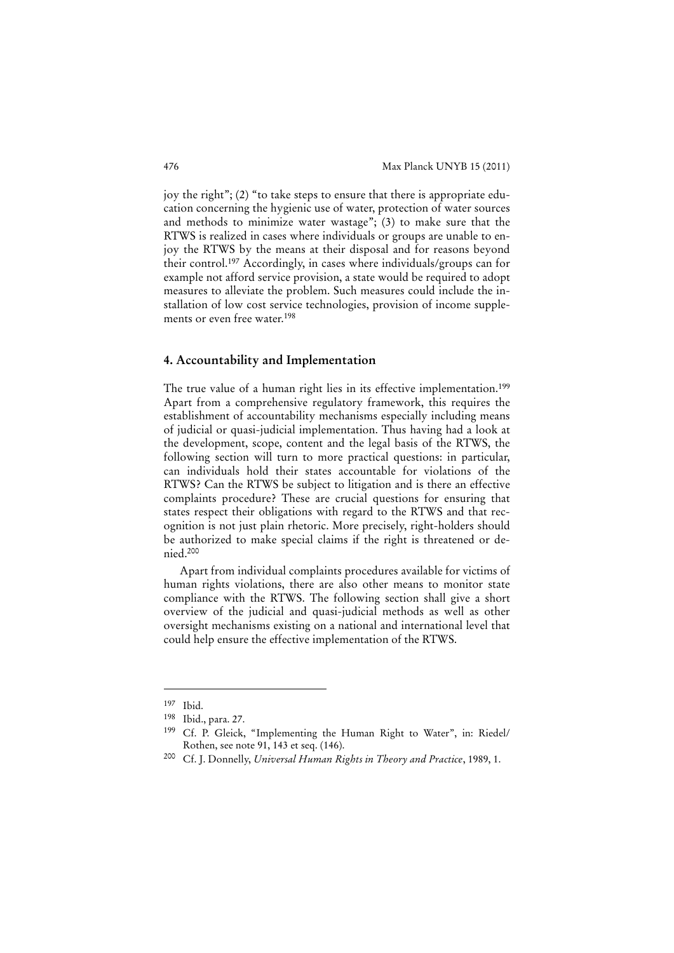joy the right"; (2) "to take steps to ensure that there is appropriate education concerning the hygienic use of water, protection of water sources and methods to minimize water wastage"; (3) to make sure that the RTWS is realized in cases where individuals or groups are unable to enjoy the RTWS by the means at their disposal and for reasons beyond their control.197 Accordingly, in cases where individuals/groups can for example not afford service provision, a state would be required to adopt measures to alleviate the problem. Such measures could include the installation of low cost service technologies, provision of income supplements or even free water.198

#### **4. Accountability and Implementation**

The true value of a human right lies in its effective implementation.<sup>199</sup> Apart from a comprehensive regulatory framework, this requires the establishment of accountability mechanisms especially including means of judicial or quasi-judicial implementation. Thus having had a look at the development, scope, content and the legal basis of the RTWS, the following section will turn to more practical questions: in particular, can individuals hold their states accountable for violations of the RTWS? Can the RTWS be subject to litigation and is there an effective complaints procedure? These are crucial questions for ensuring that states respect their obligations with regard to the RTWS and that recognition is not just plain rhetoric. More precisely, right-holders should be authorized to make special claims if the right is threatened or denied.200

Apart from individual complaints procedures available for victims of human rights violations, there are also other means to monitor state compliance with the RTWS. The following section shall give a short overview of the judicial and quasi-judicial methods as well as other oversight mechanisms existing on a national and international level that could help ensure the effective implementation of the RTWS.

<sup>197</sup> Ibid.

<sup>198</sup> Ibid., para. 27.

<sup>199</sup> Cf. P. Gleick, "Implementing the Human Right to Water", in: Riedel/ Rothen, see note 91, 143 et seq. (146).

<sup>200</sup> Cf. J. Donnelly, *Universal Human Rights in Theory and Practice*, 1989, 1.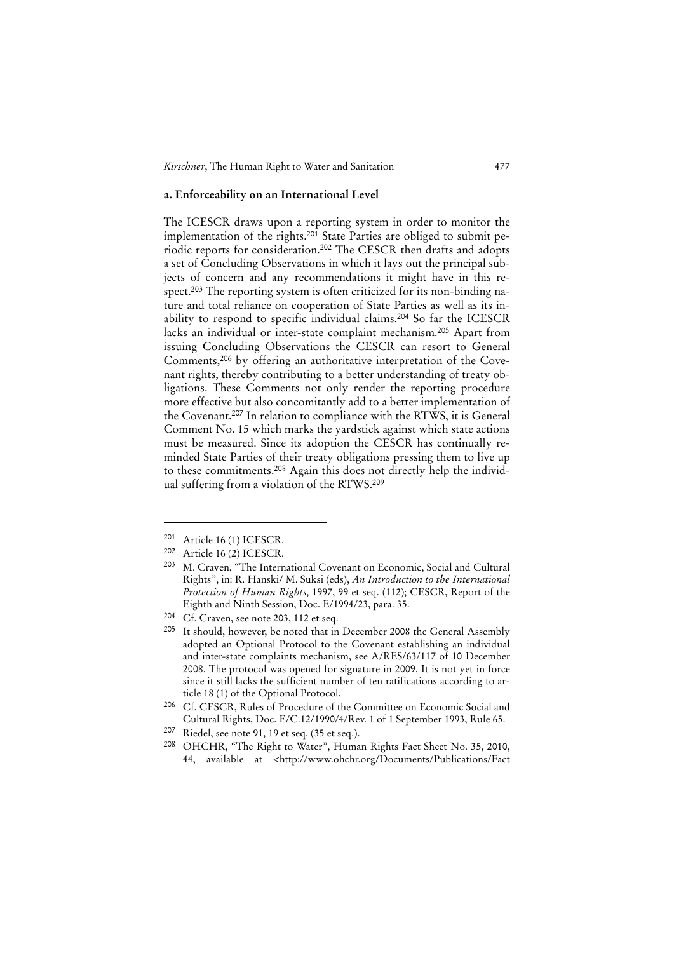*Kirschner*, The Human Right to Water and Sanitation 477

#### **a. Enforceability on an International Level**

The ICESCR draws upon a reporting system in order to monitor the implementation of the rights.<sup>201</sup> State Parties are obliged to submit periodic reports for consideration.202 The CESCR then drafts and adopts a set of Concluding Observations in which it lays out the principal subjects of concern and any recommendations it might have in this respect.203 The reporting system is often criticized for its non-binding nature and total reliance on cooperation of State Parties as well as its inability to respond to specific individual claims.204 So far the ICESCR lacks an individual or inter-state complaint mechanism.205 Apart from issuing Concluding Observations the CESCR can resort to General Comments,206 by offering an authoritative interpretation of the Covenant rights, thereby contributing to a better understanding of treaty obligations. These Comments not only render the reporting procedure more effective but also concomitantly add to a better implementation of the Covenant.207 In relation to compliance with the RTWS, it is General Comment No. 15 which marks the yardstick against which state actions must be measured. Since its adoption the CESCR has continually reminded State Parties of their treaty obligations pressing them to live up to these commitments.208 Again this does not directly help the individual suffering from a violation of the RTWS.209

<sup>201</sup> Article 16 (1) ICESCR.<br>
202 Article 16 (2) ICESCR

Article 16 (2) ICESCR.

<sup>203</sup> M. Craven, "The International Covenant on Economic, Social and Cultural Rights", in: R. Hanski/ M. Suksi (eds), *An Introduction to the International Protection of Human Rights*, 1997, 99 et seq. (112); CESCR, Report of the Eighth and Ninth Session, Doc. E/1994/23, para. 35.

<sup>204</sup> Cf. Craven, see note 203, 112 et seq.

<sup>&</sup>lt;sup>205</sup> It should, however, be noted that in December 2008 the General Assembly adopted an Optional Protocol to the Covenant establishing an individual and inter-state complaints mechanism, see A/RES/63/117 of 10 December 2008. The protocol was opened for signature in 2009. It is not yet in force since it still lacks the sufficient number of ten ratifications according to article 18 (1) of the Optional Protocol.

<sup>206</sup> Cf. CESCR, Rules of Procedure of the Committee on Economic Social and Cultural Rights, Doc. E/C.12/1990/4/Rev. 1 of 1 September 1993, Rule 65.

<sup>207</sup> Riedel, see note 91, 19 et seq. (35 et seq.).

<sup>208</sup> OHCHR, "The Right to Water", Human Rights Fact Sheet No. 35, 2010, 44, available at <http://www.ohchr.org/Documents/Publications/Fact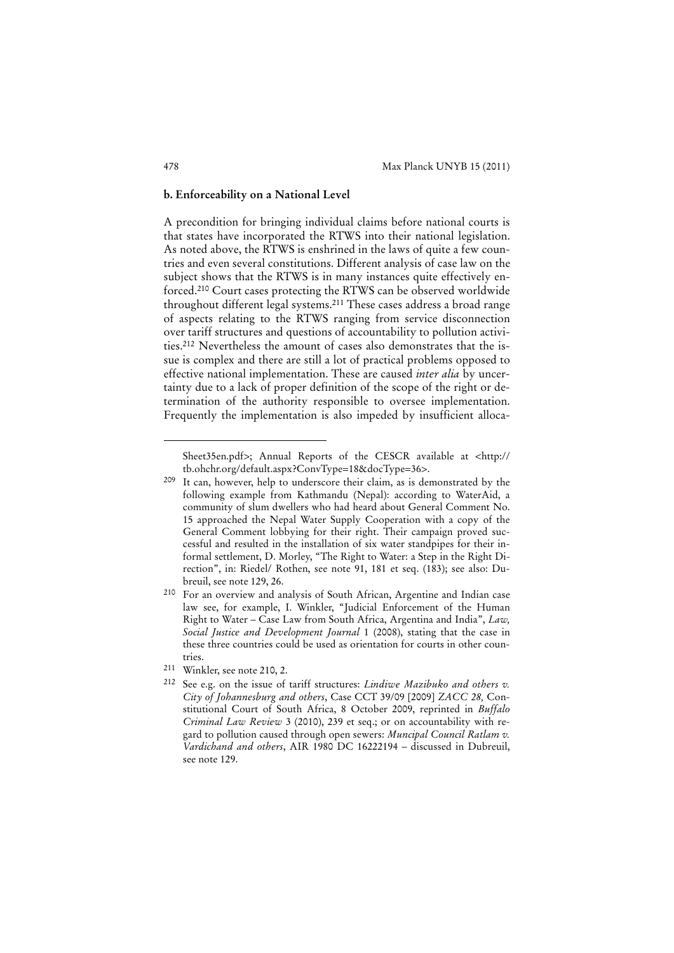#### **b. Enforceability on a National Level**

A precondition for bringing individual claims before national courts is that states have incorporated the RTWS into their national legislation. As noted above, the RTWS is enshrined in the laws of quite a few countries and even several constitutions. Different analysis of case law on the subject shows that the RTWS is in many instances quite effectively enforced.210 Court cases protecting the RTWS can be observed worldwide throughout different legal systems.211 These cases address a broad range of aspects relating to the RTWS ranging from service disconnection over tariff structures and questions of accountability to pollution activities.212 Nevertheless the amount of cases also demonstrates that the issue is complex and there are still a lot of practical problems opposed to effective national implementation. These are caused *inter alia* by uncertainty due to a lack of proper definition of the scope of the right or determination of the authority responsible to oversee implementation. Frequently the implementation is also impeded by insufficient alloca-

Sheet35en.pdf>; Annual Reports of the CESCR available at <http:// tb.ohchr.org/default.aspx?ConvType=18&docType=36>.

<sup>209</sup> It can, however, help to underscore their claim, as is demonstrated by the following example from Kathmandu (Nepal): according to WaterAid, a community of slum dwellers who had heard about General Comment No. 15 approached the Nepal Water Supply Cooperation with a copy of the General Comment lobbying for their right. Their campaign proved successful and resulted in the installation of six water standpipes for their informal settlement, D. Morley, "The Right to Water: a Step in the Right Direction", in: Riedel/ Rothen, see note 91, 181 et seq. (183); see also: Dubreuil, see note 129, 26.

<sup>210</sup> For an overview and analysis of South African, Argentine and Indian case law see, for example, I. Winkler, "Judicial Enforcement of the Human Right to Water – Case Law from South Africa, Argentina and India", *Law, Social Justice and Development Journal* 1 (2008), stating that the case in these three countries could be used as orientation for courts in other countries.

<sup>211</sup> Winkler, see note 210, 2.

<sup>212</sup> See e.g. on the issue of tariff structures: *Lindiwe Mazibuko and others v. City of Johannesburg and others*, Case CCT 39/09 [2009] *ZACC 28,* Constitutional Court of South Africa, 8 October 2009, reprinted in *Buffalo Criminal Law Review* 3 (2010), 239 et seq.; or on accountability with regard to pollution caused through open sewers: *Muncipal Council Ratlam v. Vardichand and others*, AIR 1980 DC 16222194 – discussed in Dubreuil, see note 129.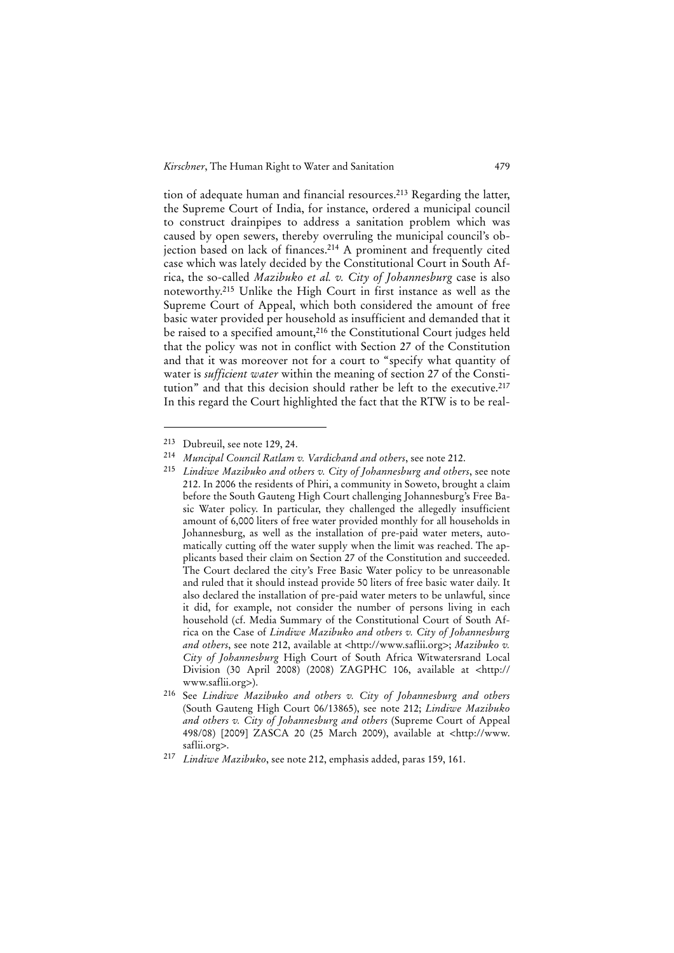*Kirschner*, The Human Right to Water and Sanitation 479

tion of adequate human and financial resources.213 Regarding the latter, the Supreme Court of India, for instance, ordered a municipal council to construct drainpipes to address a sanitation problem which was caused by open sewers, thereby overruling the municipal council's objection based on lack of finances.214 A prominent and frequently cited case which was lately decided by the Constitutional Court in South Africa, the so-called *Mazibuko et al. v. City of Johannesburg* case is also noteworthy.215 Unlike the High Court in first instance as well as the Supreme Court of Appeal, which both considered the amount of free basic water provided per household as insufficient and demanded that it be raised to a specified amount,<sup>216</sup> the Constitutional Court judges held that the policy was not in conflict with Section 27 of the Constitution and that it was moreover not for a court to "specify what quantity of water is *sufficient water* within the meaning of section 27 of the Constitution" and that this decision should rather be left to the executive.<sup>217</sup> In this regard the Court highlighted the fact that the RTW is to be real-

<sup>213</sup> Dubreuil, see note 129, 24.

<sup>214</sup> *Muncipal Council Ratlam v. Vardichand and others*, see note 212.

Lindiwe Mazibuko and others v. City of Johannesburg and others, see note 212. In 2006 the residents of Phiri, a community in Soweto, brought a claim before the South Gauteng High Court challenging Johannesburg's Free Basic Water policy. In particular, they challenged the allegedly insufficient amount of 6,000 liters of free water provided monthly for all households in Johannesburg, as well as the installation of pre-paid water meters, automatically cutting off the water supply when the limit was reached. The applicants based their claim on Section 27 of the Constitution and succeeded. The Court declared the city's Free Basic Water policy to be unreasonable and ruled that it should instead provide 50 liters of free basic water daily. It also declared the installation of pre-paid water meters to be unlawful, since it did, for example, not consider the number of persons living in each household (cf. Media Summary of the Constitutional Court of South Africa on the Case of *Lindiwe Mazibuko and others v. City of Johannesburg and others*, see note 212, available at <http://www.saflii.org>; *Mazibuko v. City of Johannesburg* High Court of South Africa Witwatersrand Local Division (30 April 2008) (2008) ZAGPHC 106, available at <http:// www.saflii.org>).

<sup>216</sup> See *Lindiwe Mazibuko and others v. City of Johannesburg and others* (South Gauteng High Court 06/13865), see note 212; *Lindiwe Mazibuko and others v. City of Johannesburg and others* (Supreme Court of Appeal 498/08) [2009] ZASCA 20 (25 March 2009), available at <http://www. saflii.org>.

<sup>217</sup> *Lindiwe Mazibuko*, see note 212, emphasis added, paras 159, 161.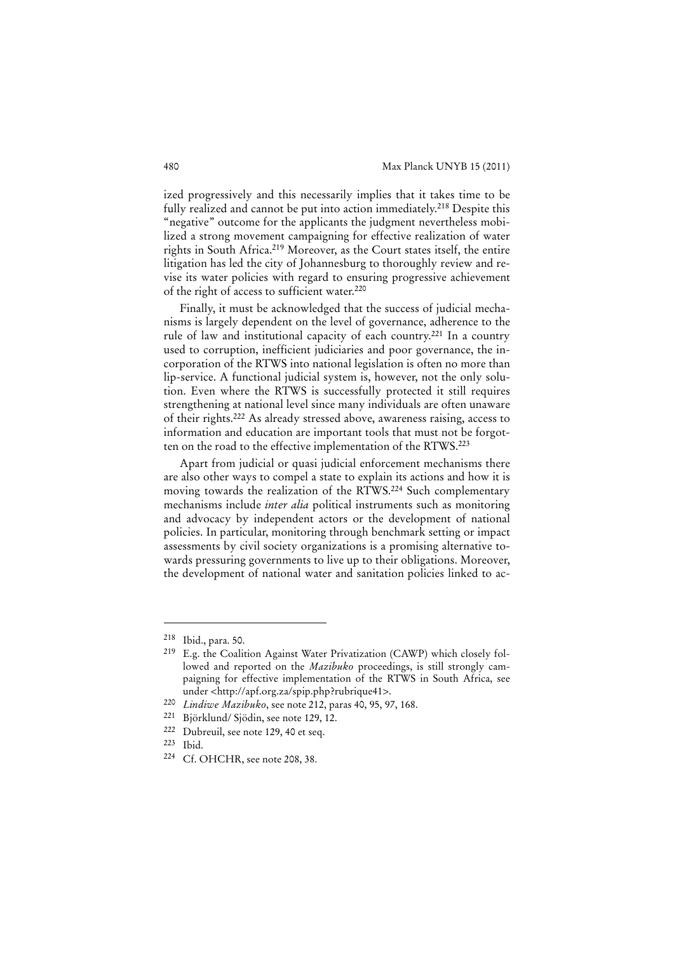ized progressively and this necessarily implies that it takes time to be fully realized and cannot be put into action immediately.<sup>218</sup> Despite this "negative" outcome for the applicants the judgment nevertheless mobilized a strong movement campaigning for effective realization of water rights in South Africa.219 Moreover, as the Court states itself, the entire litigation has led the city of Johannesburg to thoroughly review and revise its water policies with regard to ensuring progressive achievement of the right of access to sufficient water.220

Finally, it must be acknowledged that the success of judicial mechanisms is largely dependent on the level of governance, adherence to the rule of law and institutional capacity of each country.221 In a country used to corruption, inefficient judiciaries and poor governance, the incorporation of the RTWS into national legislation is often no more than lip-service. A functional judicial system is, however, not the only solution. Even where the RTWS is successfully protected it still requires strengthening at national level since many individuals are often unaware of their rights.222 As already stressed above, awareness raising, access to information and education are important tools that must not be forgotten on the road to the effective implementation of the RTWS.223

Apart from judicial or quasi judicial enforcement mechanisms there are also other ways to compel a state to explain its actions and how it is moving towards the realization of the RTWS.224 Such complementary mechanisms include *inter alia* political instruments such as monitoring and advocacy by independent actors or the development of national policies. In particular, monitoring through benchmark setting or impact assessments by civil society organizations is a promising alternative towards pressuring governments to live up to their obligations. Moreover, the development of national water and sanitation policies linked to ac-

<sup>218</sup> Ibid., para. 50.

<sup>219</sup> E.g. the Coalition Against Water Privatization (CAWP) which closely followed and reported on the *Mazibuko* proceedings, is still strongly campaigning for effective implementation of the RTWS in South Africa, see under <http://apf.org.za/spip.php?rubrique41>.

<sup>220</sup> *Lindiwe Mazibuko*, see note 212, paras 40, 95, 97, 168.

Björklund/ Sjödin, see note 129, 12.

<sup>222</sup> Dubreuil, see note 129, 40 et seq.

<sup>223</sup> Ibid.

<sup>224</sup> Cf. OHCHR, see note 208, 38.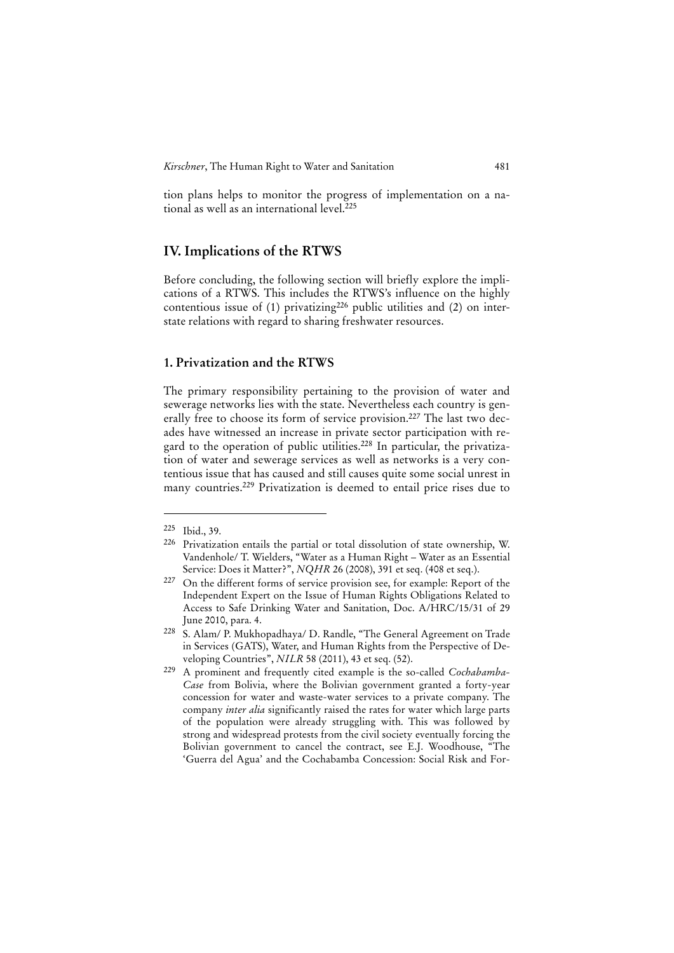tion plans helps to monitor the progress of implementation on a national as well as an international level.<sup>225</sup>

# **IV. Implications of the RTWS**

Before concluding, the following section will briefly explore the implications of a RTWS. This includes the RTWS's influence on the highly contentious issue of  $(1)$  privatizing<sup>226</sup> public utilities and  $(2)$  on interstate relations with regard to sharing freshwater resources.

#### **1. Privatization and the RTWS**

The primary responsibility pertaining to the provision of water and sewerage networks lies with the state. Nevertheless each country is generally free to choose its form of service provision.<sup>227</sup> The last two decades have witnessed an increase in private sector participation with regard to the operation of public utilities.<sup>228</sup> In particular, the privatization of water and sewerage services as well as networks is a very contentious issue that has caused and still causes quite some social unrest in many countries.229 Privatization is deemed to entail price rises due to

<sup>225</sup> Ibid., 39.

<sup>226</sup> Privatization entails the partial or total dissolution of state ownership, W. Vandenhole/ T. Wielders, "Water as a Human Right – Water as an Essential Service: Does it Matter?", *NQHR* 26 (2008), 391 et seq. (408 et seq.).

<sup>227</sup> On the different forms of service provision see, for example: Report of the Independent Expert on the Issue of Human Rights Obligations Related to Access to Safe Drinking Water and Sanitation, Doc. A/HRC/15/31 of 29 June 2010, para. 4.

<sup>228</sup> S. Alam/ P. Mukhopadhaya/ D. Randle, "The General Agreement on Trade in Services (GATS), Water, and Human Rights from the Perspective of Developing Countries", *NILR* 58 (2011), 43 et seq. (52).

<sup>229</sup> A prominent and frequently cited example is the so-called *Cochabamba-Case* from Bolivia, where the Bolivian government granted a forty-year concession for water and waste-water services to a private company. The company *inter alia* significantly raised the rates for water which large parts of the population were already struggling with. This was followed by strong and widespread protests from the civil society eventually forcing the Bolivian government to cancel the contract, see E.J. Woodhouse, "The 'Guerra del Agua' and the Cochabamba Concession: Social Risk and For-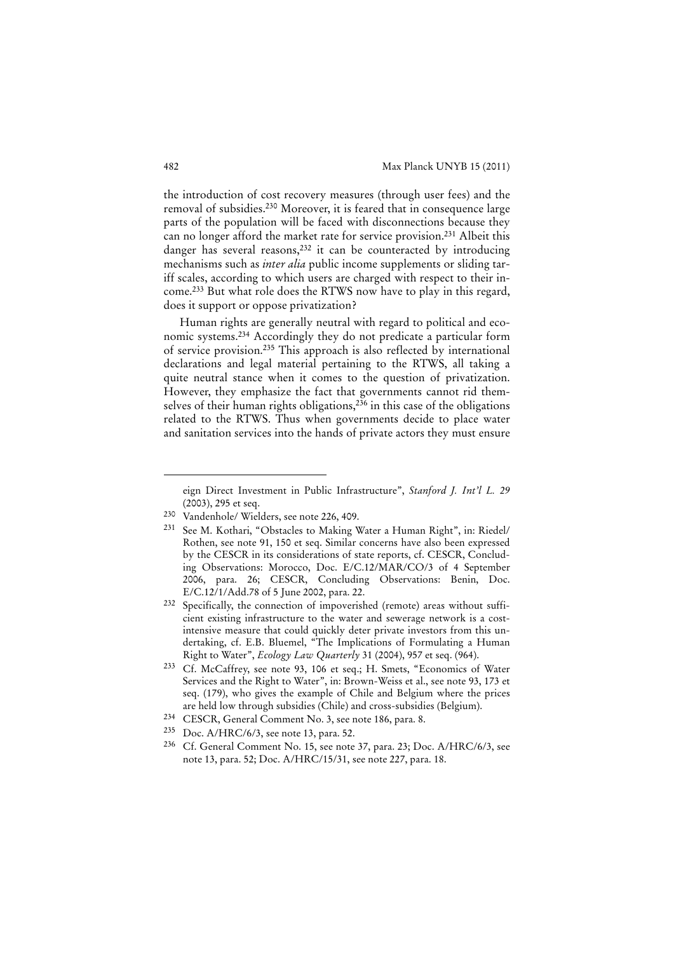the introduction of cost recovery measures (through user fees) and the removal of subsidies.230 Moreover, it is feared that in consequence large parts of the population will be faced with disconnections because they can no longer afford the market rate for service provision.231 Albeit this danger has several reasons,<sup>232</sup> it can be counteracted by introducing mechanisms such as *inter alia* public income supplements or sliding tariff scales, according to which users are charged with respect to their income.233 But what role does the RTWS now have to play in this regard, does it support or oppose privatization?

Human rights are generally neutral with regard to political and economic systems.234 Accordingly they do not predicate a particular form of service provision.235 This approach is also reflected by international declarations and legal material pertaining to the RTWS, all taking a quite neutral stance when it comes to the question of privatization. However, they emphasize the fact that governments cannot rid themselves of their human rights obligations,<sup>236</sup> in this case of the obligations related to the RTWS. Thus when governments decide to place water and sanitation services into the hands of private actors they must ensure

eign Direct Investment in Public Infrastructure", *Stanford J. Int'l L. 29*  (2003), 295 et seq.

<sup>230</sup> Vandenhole/ Wielders, see note 226, 409.

<sup>231</sup> See M. Kothari, "Obstacles to Making Water a Human Right", in: Riedel/ Rothen, see note 91, 150 et seq. Similar concerns have also been expressed by the CESCR in its considerations of state reports, cf. CESCR, Concluding Observations: Morocco, Doc. E/C.12/MAR/CO/3 of 4 September 2006, para. 26; CESCR, Concluding Observations: Benin, Doc. E/C.12/1/Add.78 of 5 June 2002, para. 22.

<sup>232</sup> Specifically, the connection of impoverished (remote) areas without sufficient existing infrastructure to the water and sewerage network is a costintensive measure that could quickly deter private investors from this undertaking, cf. E.B. Bluemel, "The Implications of Formulating a Human Right to Water", *Ecology Law Quarterly* 31 (2004), 957 et seq. (964).

<sup>233</sup> Cf. McCaffrey, see note 93, 106 et seq.; H. Smets, "Economics of Water Services and the Right to Water", in: Brown-Weiss et al., see note 93, 173 et seq. (179), who gives the example of Chile and Belgium where the prices are held low through subsidies (Chile) and cross-subsidies (Belgium).

<sup>234</sup> CESCR, General Comment No. 3, see note 186, para. 8.

<sup>235</sup> Doc. A/HRC/6/3, see note 13, para. 52.

<sup>236</sup> Cf. General Comment No. 15, see note 37, para. 23; Doc. A/HRC/6/3, see note 13, para. 52; Doc. A/HRC/15/31, see note 227, para. 18.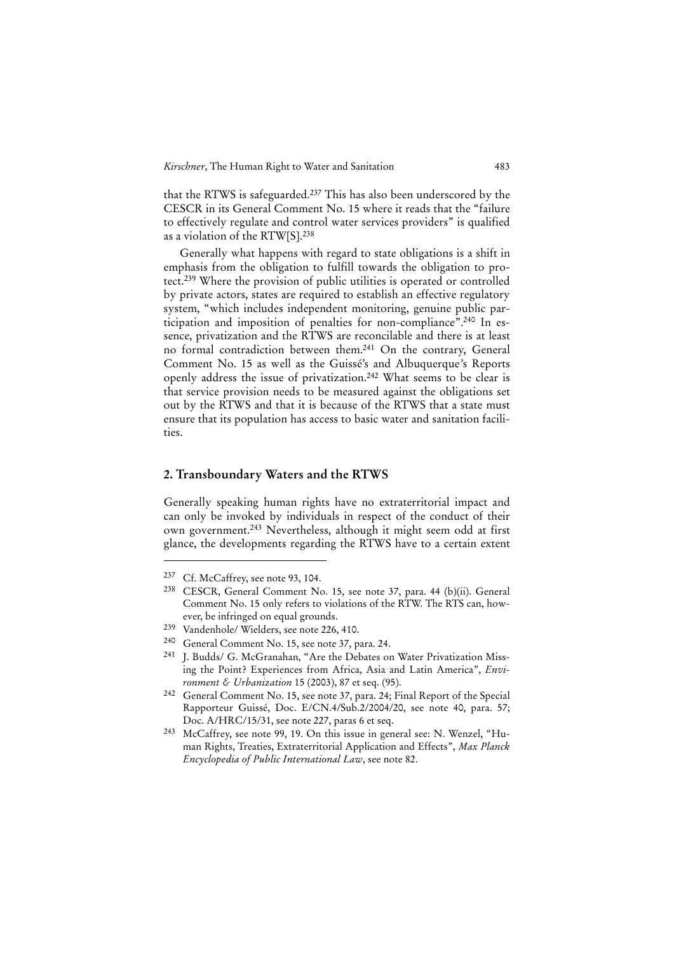that the RTWS is safeguarded.237 This has also been underscored by the CESCR in its General Comment No. 15 where it reads that the "failure to effectively regulate and control water services providers" is qualified as a violation of the RTW[S].238

Generally what happens with regard to state obligations is a shift in emphasis from the obligation to fulfill towards the obligation to protect.239 Where the provision of public utilities is operated or controlled by private actors, states are required to establish an effective regulatory system, "which includes independent monitoring, genuine public participation and imposition of penalties for non-compliance".240 In essence, privatization and the RTWS are reconcilable and there is at least no formal contradiction between them.241 On the contrary, General Comment No. 15 as well as the Guissé's and Albuquerque*'*s Reports openly address the issue of privatization.242 What seems to be clear is that service provision needs to be measured against the obligations set out by the RTWS and that it is because of the RTWS that a state must ensure that its population has access to basic water and sanitation facilities.

### **2. Transboundary Waters and the RTWS**

Generally speaking human rights have no extraterritorial impact and can only be invoked by individuals in respect of the conduct of their own government.243 Nevertheless, although it might seem odd at first glance, the developments regarding the RTWS have to a certain extent

<sup>237</sup> Cf. McCaffrey, see note 93, 104.

<sup>238</sup> CESCR, General Comment No. 15, see note 37, para. 44 (b)(ii). General Comment No. 15 only refers to violations of the RTW. The RTS can, however, be infringed on equal grounds.

<sup>239</sup> Vandenhole/ Wielders, see note 226, 410.

<sup>240</sup> General Comment No. 15, see note 37, para. 24.

<sup>&</sup>lt;sup>241</sup> I. Budds/ G. McGranahan, "Are the Debates on Water Privatization Missing the Point? Experiences from Africa, Asia and Latin America", *Environment & Urbanization* 15 (2003), 87 et seq. (95).

<sup>242</sup> General Comment No. 15, see note 37, para. 24; Final Report of the Special Rapporteur Guissé, Doc. E/CN.4/Sub.2/2004/20, see note 40, para. 57; Doc. A/HRC/15/31, see note 227, paras 6 et seq.

<sup>243</sup> McCaffrey, see note 99, 19. On this issue in general see: N. Wenzel, "Human Rights, Treaties, Extraterritorial Application and Effects", *Max Planck Encyclopedia of Public International Law*, see note 82.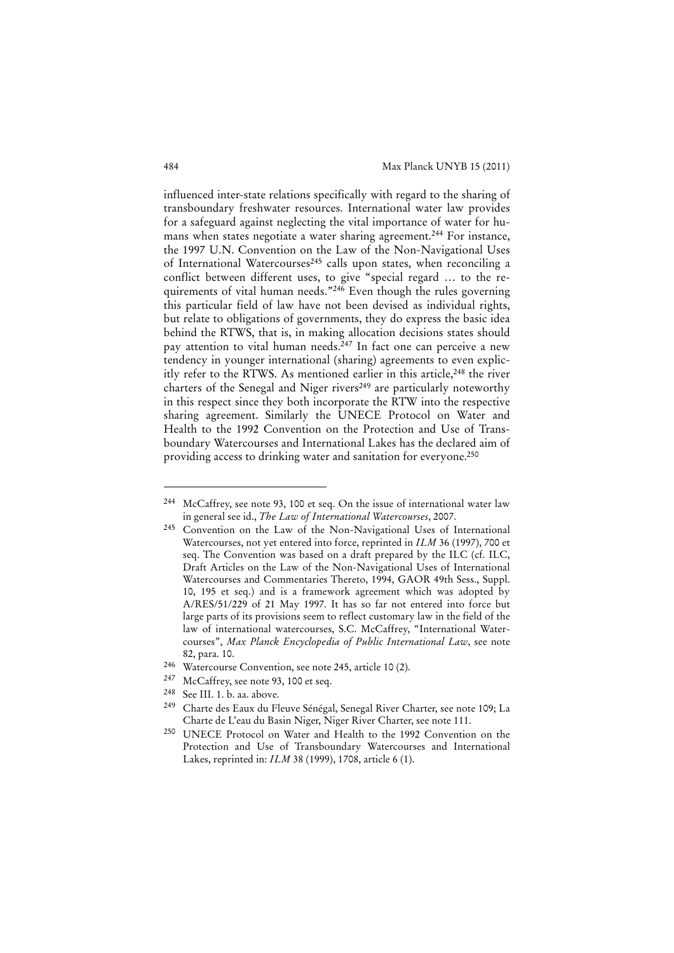influenced inter-state relations specifically with regard to the sharing of transboundary freshwater resources. International water law provides for a safeguard against neglecting the vital importance of water for humans when states negotiate a water sharing agreement.<sup>244</sup> For instance, the 1997 U.N. Convention on the Law of the Non-Navigational Uses of International Watercourses<sup>245</sup> calls upon states, when reconciling a conflict between different uses, to give "special regard … to the requirements of vital human needs."<sup>246</sup> Even though the rules governing this particular field of law have not been devised as individual rights, but relate to obligations of governments, they do express the basic idea behind the RTWS, that is, in making allocation decisions states should pay attention to vital human needs.<sup>247</sup> In fact one can perceive a new tendency in younger international (sharing) agreements to even explicitly refer to the RTWS. As mentioned earlier in this article,<sup>248</sup> the river charters of the Senegal and Niger rivers<sup>249</sup> are particularly noteworthy in this respect since they both incorporate the RTW into the respective sharing agreement. Similarly the UNECE Protocol on Water and Health to the 1992 Convention on the Protection and Use of Transboundary Watercourses and International Lakes has the declared aim of providing access to drinking water and sanitation for everyone.250

<sup>244</sup> McCaffrey, see note 93, 100 et seq. On the issue of international water law in general see id., *The Law of International Watercourses*, 2007.

<sup>245</sup> Convention on the Law of the Non-Navigational Uses of International Watercourses, not yet entered into force, reprinted in *ILM* 36 (1997), 700 et seq. The Convention was based on a draft prepared by the ILC (cf. ILC, Draft Articles on the Law of the Non-Navigational Uses of International Watercourses and Commentaries Thereto, 1994, GAOR 49th Sess., Suppl. 10, 195 et seq.) and is a framework agreement which was adopted by A/RES/51/229 of 21 May 1997. It has so far not entered into force but large parts of its provisions seem to reflect customary law in the field of the law of international watercourses, S.C. McCaffrey, "International Watercourses", *Max Planck Encyclopedia of Public International Law*, see note 82, para. 10.

<sup>246</sup> Watercourse Convention, see note 245, article 10 (2).

<sup>247</sup> McCaffrey, see note 93, 100 et seq.

<sup>248</sup> See III. 1. b. aa. above.

<sup>249</sup> Charte des Eaux du Fleuve Sénégal, Senegal River Charter, see note 109; La Charte de L'eau du Basin Niger, Niger River Charter, see note 111.

<sup>250</sup> UNECE Protocol on Water and Health to the 1992 Convention on the Protection and Use of Transboundary Watercourses and International Lakes, reprinted in: *ILM* 38 (1999), 1708, article 6 (1).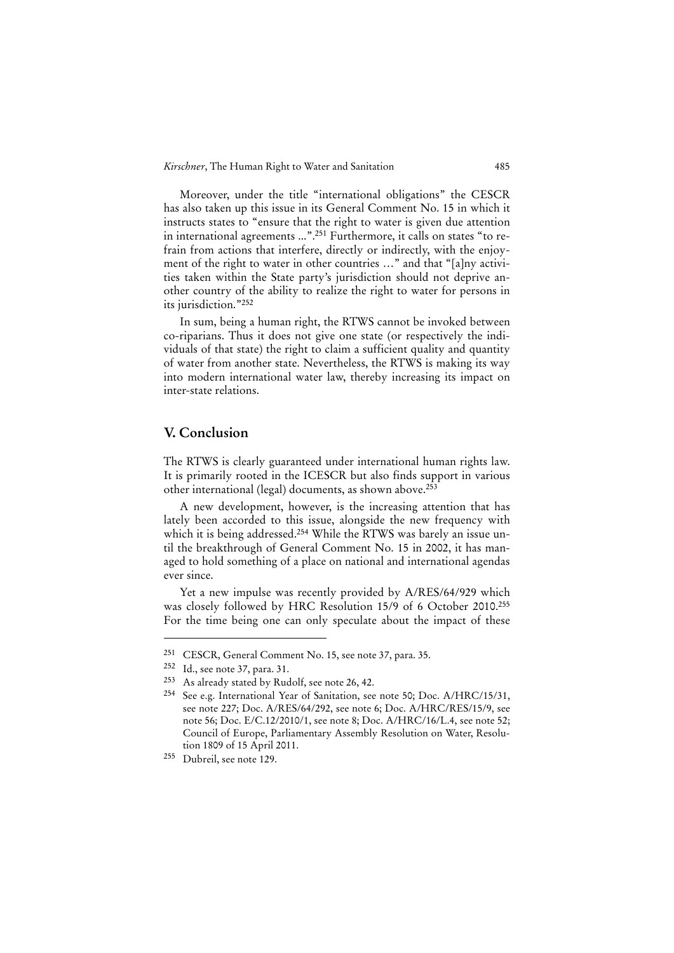Moreover, under the title "international obligations" the CESCR has also taken up this issue in its General Comment No. 15 in which it instructs states to "ensure that the right to water is given due attention in international agreements ...".251 Furthermore, it calls on states "to refrain from actions that interfere, directly or indirectly, with the enjoyment of the right to water in other countries …" and that "[a]ny activities taken within the State party's jurisdiction should not deprive another country of the ability to realize the right to water for persons in its jurisdiction."252

In sum, being a human right, the RTWS cannot be invoked between co-riparians. Thus it does not give one state (or respectively the individuals of that state) the right to claim a sufficient quality and quantity of water from another state. Nevertheless, the RTWS is making its way into modern international water law, thereby increasing its impact on inter-state relations.

# **V. Conclusion**

The RTWS is clearly guaranteed under international human rights law. It is primarily rooted in the ICESCR but also finds support in various other international (legal) documents, as shown above.253

A new development, however, is the increasing attention that has lately been accorded to this issue, alongside the new frequency with which it is being addressed.<sup>254</sup> While the RTWS was barely an issue until the breakthrough of General Comment No. 15 in 2002, it has managed to hold something of a place on national and international agendas ever since.

Yet a new impulse was recently provided by A/RES/64/929 which was closely followed by HRC Resolution 15/9 of 6 October 2010.255 For the time being one can only speculate about the impact of these

<sup>251</sup> CESCR, General Comment No. 15, see note 37, para. 35.

<sup>252</sup> Id., see note 37, para. 31.

<sup>253</sup> As already stated by Rudolf, see note 26, 42.

<sup>254</sup> See e.g. International Year of Sanitation, see note 50; Doc. A/HRC/15/31, see note 227; Doc. A/RES/64/292, see note 6; Doc. A/HRC/RES/15/9, see note 56; Doc. E/C.12/2010/1, see note 8; Doc. A/HRC/16/L.4, see note 52; Council of Europe, Parliamentary Assembly Resolution on Water, Resolution 1809 of 15 April 2011.

<sup>255</sup> Dubreil, see note 129.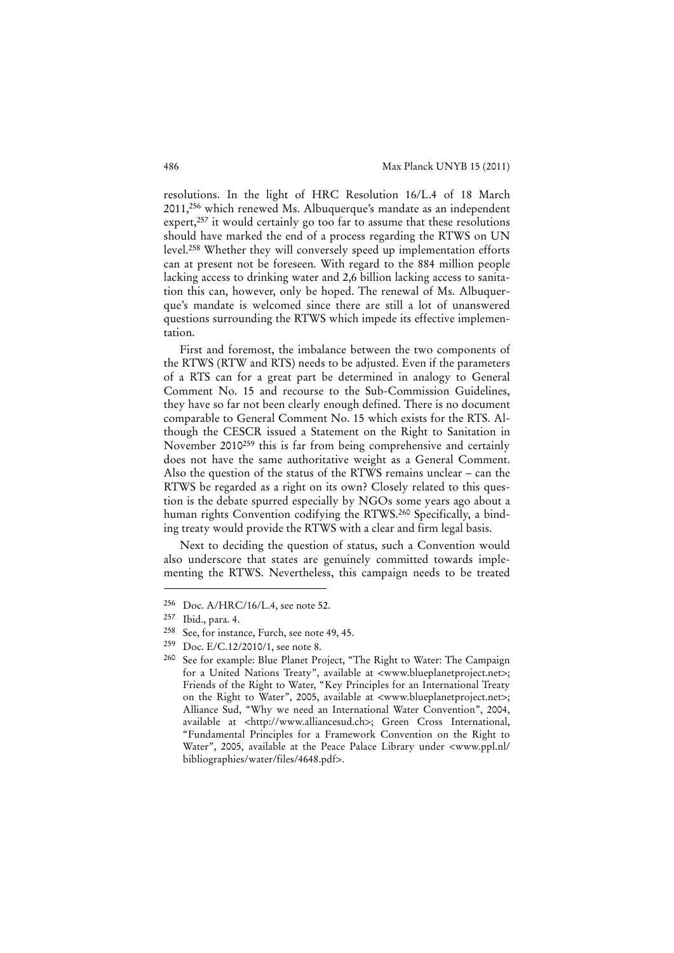resolutions. In the light of HRC Resolution 16/L.4 of 18 March 2011,256 which renewed Ms. Albuquerque's mandate as an independent expert,<sup>257</sup> it would certainly go too far to assume that these resolutions should have marked the end of a process regarding the RTWS on UN level.258 Whether they will conversely speed up implementation efforts can at present not be foreseen. With regard to the 884 million people lacking access to drinking water and 2,6 billion lacking access to sanitation this can, however, only be hoped. The renewal of Ms. Albuquerque's mandate is welcomed since there are still a lot of unanswered questions surrounding the RTWS which impede its effective implementation.

First and foremost, the imbalance between the two components of the RTWS (RTW and RTS) needs to be adjusted. Even if the parameters of a RTS can for a great part be determined in analogy to General Comment No. 15 and recourse to the Sub-Commission Guidelines, they have so far not been clearly enough defined. There is no document comparable to General Comment No. 15 which exists for the RTS. Although the CESCR issued a Statement on the Right to Sanitation in November 2010259 this is far from being comprehensive and certainly does not have the same authoritative weight as a General Comment. Also the question of the status of the RTWS remains unclear – can the RTWS be regarded as a right on its own? Closely related to this question is the debate spurred especially by NGOs some years ago about a human rights Convention codifying the RTWS.<sup>260</sup> Specifically, a binding treaty would provide the RTWS with a clear and firm legal basis.

Next to deciding the question of status, such a Convention would also underscore that states are genuinely committed towards implementing the RTWS. Nevertheless, this campaign needs to be treated

<sup>256</sup> Doc. A/HRC/16/L.4, see note 52.

<sup>257</sup> Ibid., para. 4.

<sup>258</sup> See, for instance, Furch, see note 49, 45.

<sup>259</sup> Doc. E/C.12/2010/1, see note 8.

<sup>260</sup> See for example: Blue Planet Project, "The Right to Water: The Campaign for a United Nations Treaty", available at <www.blueplanetproject.net>; Friends of the Right to Water, "Key Principles for an International Treaty on the Right to Water", 2005, available at <www.blueplanetproject.net>; Alliance Sud, "Why we need an International Water Convention", 2004, available at <http://www.alliancesud.ch>; Green Cross International, "Fundamental Principles for a Framework Convention on the Right to Water", 2005, available at the Peace Palace Library under <www.ppl.nl/ bibliographies/water/files/4648.pdf>.